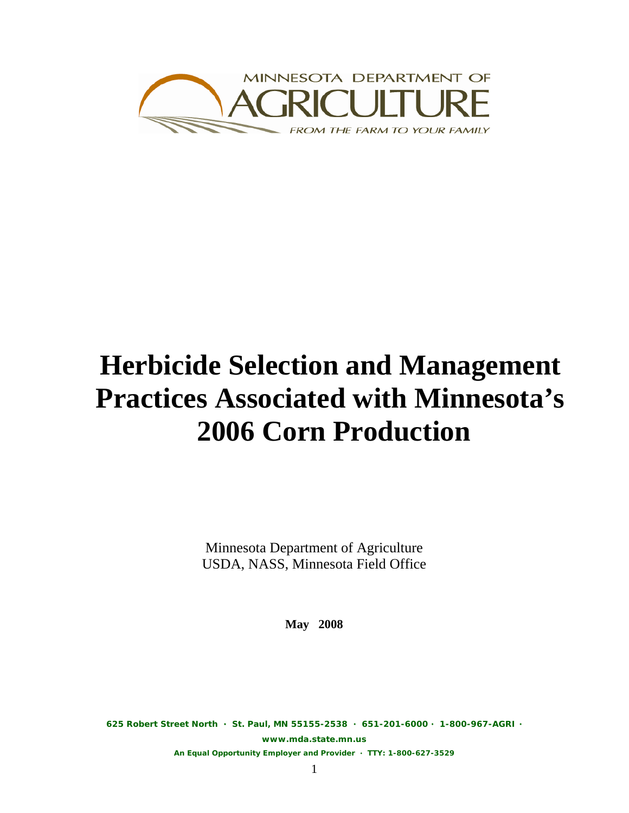

# **Herbicide Selection and Management Practices Associated with Minnesota's 2006 Corn Production**

Minnesota Department of Agriculture USDA, NASS, Minnesota Field Office

**May 2008** 

**625 Robert Street North St. Paul, MN 55155-2538 651-201-6000 1-800-967-AGRI** 

**www.mda.state.mn.us** 

**An Equal Opportunity Employer and Provider TTY: 1-800-627-3529**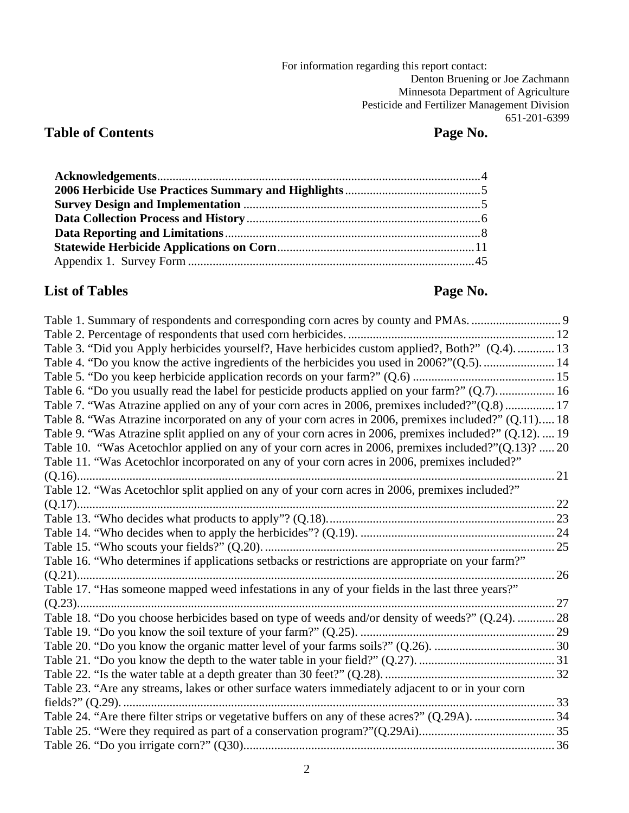For information regarding this report contact: Denton Bruening or Joe Zachmann Minnesota Department of Agriculture Pesticide and Fertilizer Management Division 651-201-6399

## **Table of Contents** Page No.

## List of Tables **Page No. Page No.**

| Table 3. "Did you Apply herbicides yourself?, Have herbicides custom applied?, Both?" (Q.4).  13        |    |
|---------------------------------------------------------------------------------------------------------|----|
| Table 4. "Do you know the active ingredients of the herbicides you used in 2006?"(Q.5).  14             |    |
|                                                                                                         |    |
| Table 6. "Do you usually read the label for pesticide products applied on your farm?" (Q.7) 16          |    |
| Table 7. "Was Atrazine applied on any of your corn acres in 2006, premixes included?"(Q.8) 17           |    |
| Table 8. "Was Atrazine incorporated on any of your corn acres in 2006, premixes included?" (Q.11) 18    |    |
| Table 9. "Was Atrazine split applied on any of your corn acres in 2006, premixes included?" (Q.12).  19 |    |
| Table 10. "Was Acetochlor applied on any of your corn acres in 2006, premixes included?"(Q.13)?  20     |    |
| Table 11. "Was Acetochlor incorporated on any of your corn acres in 2006, premixes included?"           |    |
|                                                                                                         |    |
| Table 12. "Was Acetochlor split applied on any of your corn acres in 2006, premixes included?"          |    |
|                                                                                                         |    |
|                                                                                                         |    |
|                                                                                                         |    |
|                                                                                                         |    |
| Table 16. "Who determines if applications setbacks or restrictions are appropriate on your farm?"       |    |
|                                                                                                         | 26 |
| Table 17. "Has someone mapped weed infestations in any of your fields in the last three years?"         |    |
|                                                                                                         |    |
| Table 18. "Do you choose herbicides based on type of weeds and/or density of weeds?" (Q.24).  28        |    |
|                                                                                                         |    |
|                                                                                                         |    |
|                                                                                                         |    |
|                                                                                                         |    |
| Table 23. "Are any streams, lakes or other surface waters immediately adjacent to or in your corn       |    |
|                                                                                                         |    |
|                                                                                                         |    |
|                                                                                                         |    |
|                                                                                                         |    |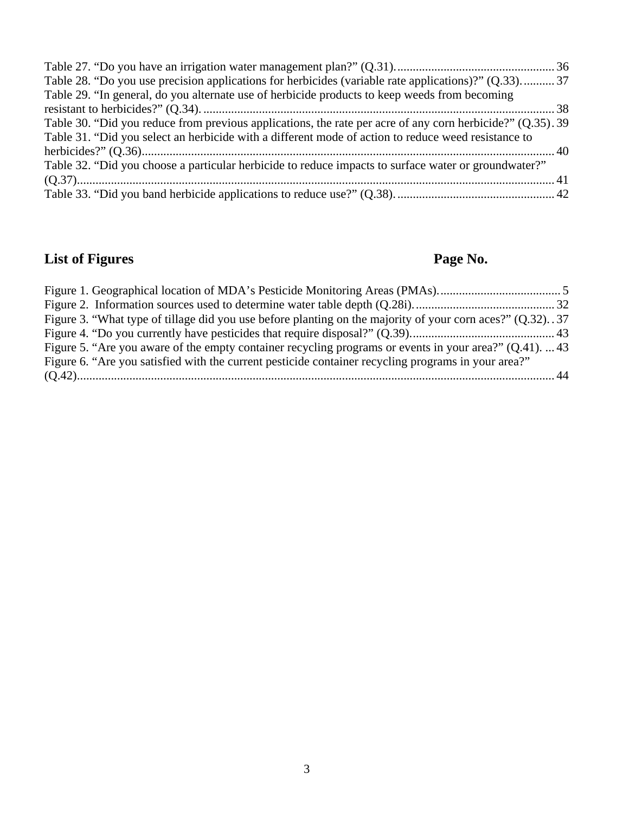| Table 28. "Do you use precision applications for herbicides (variable rate applications)?" (Q.33)37        |  |
|------------------------------------------------------------------------------------------------------------|--|
| Table 29. "In general, do you alternate use of herbicide products to keep weeds from becoming              |  |
|                                                                                                            |  |
| Table 30. "Did you reduce from previous applications, the rate per acre of any corn herbicide?" (Q.35). 39 |  |
| Table 31. "Did you select an herbicide with a different mode of action to reduce weed resistance to        |  |
|                                                                                                            |  |
| Table 32. "Did you choose a particular herbicide to reduce impacts to surface water or groundwater?"       |  |
|                                                                                                            |  |
|                                                                                                            |  |

## **List of Figures Page No. Page No.**

| Figure 3. "What type of tillage did you use before planting on the majority of your corn aces?" (Q.32). 37 |  |
|------------------------------------------------------------------------------------------------------------|--|
|                                                                                                            |  |
| Figure 5. "Are you aware of the empty container recycling programs or events in your area?" $(Q.41)$ .  43 |  |
| Figure 6. "Are you satisfied with the current pesticide container recycling programs in your area?"        |  |
|                                                                                                            |  |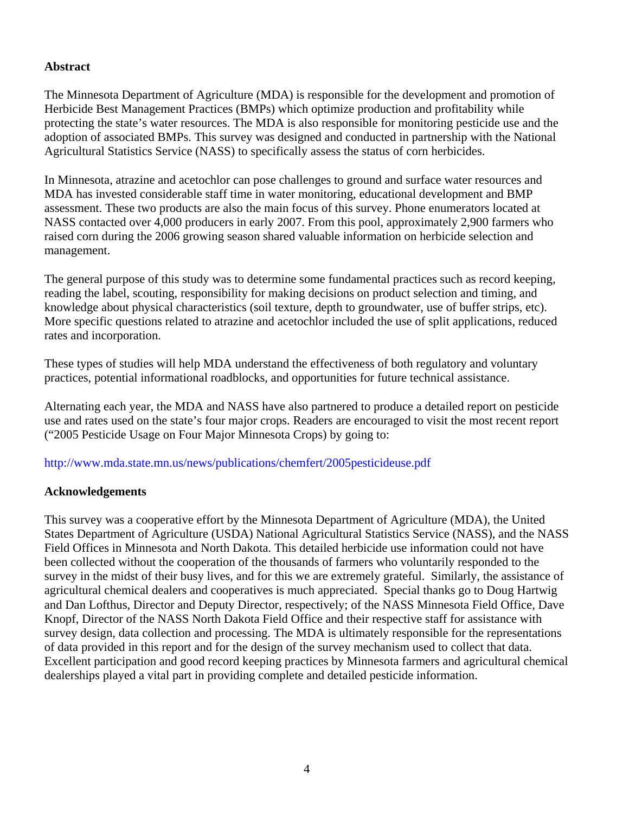### **Abstract**

The Minnesota Department of Agriculture (MDA) is responsible for the development and promotion of Herbicide Best Management Practices (BMPs) which optimize production and profitability while protecting the state's water resources. The MDA is also responsible for monitoring pesticide use and the adoption of associated BMPs. This survey was designed and conducted in partnership with the National Agricultural Statistics Service (NASS) to specifically assess the status of corn herbicides.

In Minnesota, atrazine and acetochlor can pose challenges to ground and surface water resources and MDA has invested considerable staff time in water monitoring, educational development and BMP assessment. These two products are also the main focus of this survey. Phone enumerators located at NASS contacted over 4,000 producers in early 2007. From this pool, approximately 2,900 farmers who raised corn during the 2006 growing season shared valuable information on herbicide selection and management.

The general purpose of this study was to determine some fundamental practices such as record keeping, reading the label, scouting, responsibility for making decisions on product selection and timing, and knowledge about physical characteristics (soil texture, depth to groundwater, use of buffer strips, etc). More specific questions related to atrazine and acetochlor included the use of split applications, reduced rates and incorporation.

These types of studies will help MDA understand the effectiveness of both regulatory and voluntary practices, potential informational roadblocks, and opportunities for future technical assistance.

Alternating each year, the MDA and NASS have also partnered to produce a detailed report on pesticide use and rates used on the state's four major crops. Readers are encouraged to visit the most recent report ("2005 Pesticide Usage on Four Major Minnesota Crops) by going to:

http://www.mda.state.mn.us/news/publications/chemfert/2005pesticideuse.pdf

#### **Acknowledgements**

This survey was a cooperative effort by the Minnesota Department of Agriculture (MDA), the United States Department of Agriculture (USDA) National Agricultural Statistics Service (NASS), and the NASS Field Offices in Minnesota and North Dakota. This detailed herbicide use information could not have been collected without the cooperation of the thousands of farmers who voluntarily responded to the survey in the midst of their busy lives, and for this we are extremely grateful. Similarly, the assistance of agricultural chemical dealers and cooperatives is much appreciated. Special thanks go to Doug Hartwig and Dan Lofthus, Director and Deputy Director, respectively; of the NASS Minnesota Field Office, Dave Knopf, Director of the NASS North Dakota Field Office and their respective staff for assistance with survey design, data collection and processing. The MDA is ultimately responsible for the representations of data provided in this report and for the design of the survey mechanism used to collect that data. Excellent participation and good record keeping practices by Minnesota farmers and agricultural chemical dealerships played a vital part in providing complete and detailed pesticide information.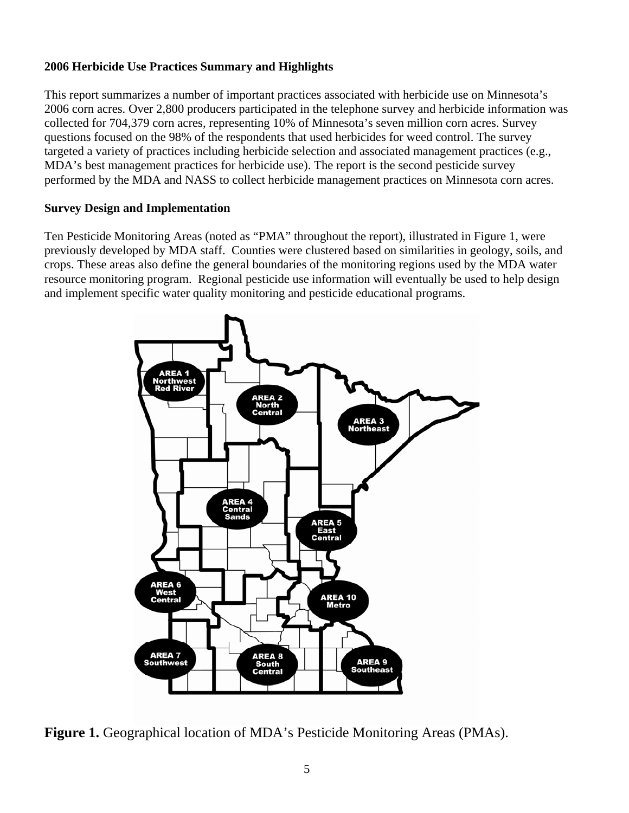### **2006 Herbicide Use Practices Summary and Highlights**

This report summarizes a number of important practices associated with herbicide use on Minnesota's 2006 corn acres. Over 2,800 producers participated in the telephone survey and herbicide information was collected for 704,379 corn acres, representing 10% of Minnesota's seven million corn acres. Survey questions focused on the 98% of the respondents that used herbicides for weed control. The survey targeted a variety of practices including herbicide selection and associated management practices (e.g., MDA's best management practices for herbicide use). The report is the second pesticide survey performed by the MDA and NASS to collect herbicide management practices on Minnesota corn acres.

#### **Survey Design and Implementation**

Ten Pesticide Monitoring Areas (noted as "PMA" throughout the report), illustrated in Figure 1, were previously developed by MDA staff. Counties were clustered based on similarities in geology, soils, and crops. These areas also define the general boundaries of the monitoring regions used by the MDA water resource monitoring program. Regional pesticide use information will eventually be used to help design and implement specific water quality monitoring and pesticide educational programs.



**Figure 1.** Geographical location of MDA's Pesticide Monitoring Areas (PMAs).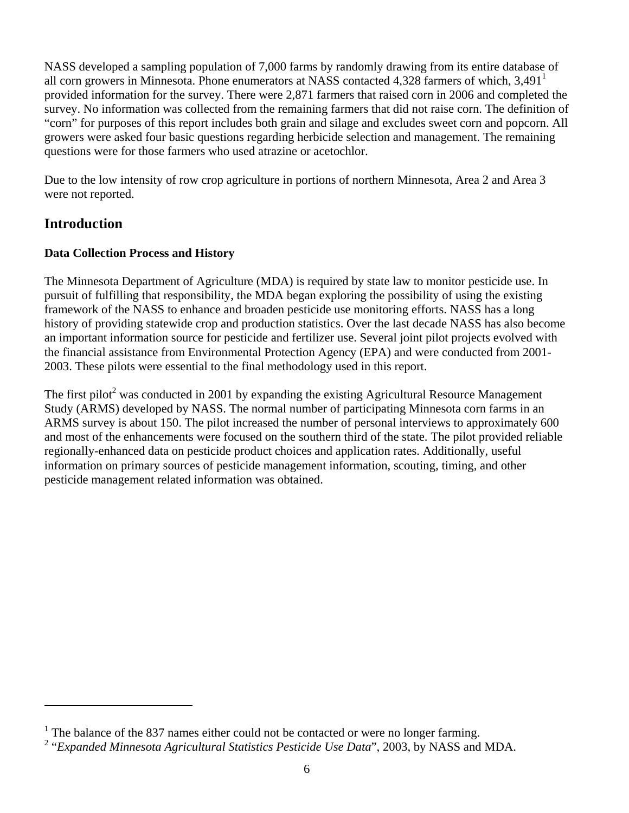NASS developed a sampling population of 7,000 farms by randomly drawing from its entire database of all corn growers in Minnesota. Phone enumerators at NASS contacted 4,328 farmers of which,  $3,491<sup>1</sup>$ provided information for the survey. There were 2,871 farmers that raised corn in 2006 and completed the survey. No information was collected from the remaining farmers that did not raise corn. The definition of "corn" for purposes of this report includes both grain and silage and excludes sweet corn and popcorn. All growers were asked four basic questions regarding herbicide selection and management. The remaining questions were for those farmers who used atrazine or acetochlor.

Due to the low intensity of row crop agriculture in portions of northern Minnesota, Area 2 and Area 3 were not reported.

## **Introduction**

 $\overline{a}$ 

## **Data Collection Process and History**

The Minnesota Department of Agriculture (MDA) is required by state law to monitor pesticide use. In pursuit of fulfilling that responsibility, the MDA began exploring the possibility of using the existing framework of the NASS to enhance and broaden pesticide use monitoring efforts. NASS has a long history of providing statewide crop and production statistics. Over the last decade NASS has also become an important information source for pesticide and fertilizer use. Several joint pilot projects evolved with the financial assistance from Environmental Protection Agency (EPA) and were conducted from 2001- 2003. These pilots were essential to the final methodology used in this report.

The first pilot<sup>2</sup> was conducted in 2001 by expanding the existing Agricultural Resource Management Study (ARMS) developed by NASS. The normal number of participating Minnesota corn farms in an ARMS survey is about 150. The pilot increased the number of personal interviews to approximately 600 and most of the enhancements were focused on the southern third of the state. The pilot provided reliable regionally-enhanced data on pesticide product choices and application rates. Additionally, useful information on primary sources of pesticide management information, scouting, timing, and other pesticide management related information was obtained.

 $<sup>1</sup>$  The balance of the 837 names either could not be contacted or were no longer farming.</sup>

<sup>&</sup>lt;sup>2</sup> "Expanded Minnesota Agricultural Statistics Pesticide Use Data", 2003, by NASS and MDA.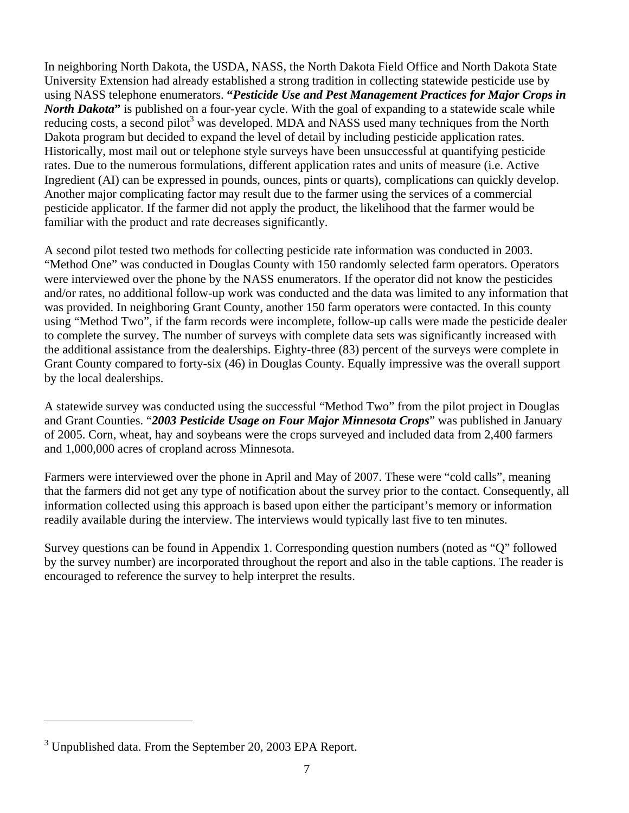In neighboring North Dakota, the USDA, NASS, the North Dakota Field Office and North Dakota State University Extension had already established a strong tradition in collecting statewide pesticide use by using NASS telephone enumerators. **"***Pesticide Use and Pest Management Practices for Major Crops in North Dakota*<sup>"</sup> is published on a four-year cycle. With the goal of expanding to a statewide scale while reducing costs, a second pilot<sup>3</sup> was developed. MDA and NASS used many techniques from the North Dakota program but decided to expand the level of detail by including pesticide application rates. Historically, most mail out or telephone style surveys have been unsuccessful at quantifying pesticide rates. Due to the numerous formulations, different application rates and units of measure (i.e. Active Ingredient (AI) can be expressed in pounds, ounces, pints or quarts), complications can quickly develop. Another major complicating factor may result due to the farmer using the services of a commercial pesticide applicator. If the farmer did not apply the product, the likelihood that the farmer would be familiar with the product and rate decreases significantly.

A second pilot tested two methods for collecting pesticide rate information was conducted in 2003. "Method One" was conducted in Douglas County with 150 randomly selected farm operators. Operators were interviewed over the phone by the NASS enumerators. If the operator did not know the pesticides and/or rates, no additional follow-up work was conducted and the data was limited to any information that was provided. In neighboring Grant County, another 150 farm operators were contacted. In this county using "Method Two", if the farm records were incomplete, follow-up calls were made the pesticide dealer to complete the survey. The number of surveys with complete data sets was significantly increased with the additional assistance from the dealerships. Eighty-three (83) percent of the surveys were complete in Grant County compared to forty-six (46) in Douglas County. Equally impressive was the overall support by the local dealerships.

A statewide survey was conducted using the successful "Method Two" from the pilot project in Douglas and Grant Counties. "*2003 Pesticide Usage on Four Major Minnesota Crops*" was published in January of 2005. Corn, wheat, hay and soybeans were the crops surveyed and included data from 2,400 farmers and 1,000,000 acres of cropland across Minnesota.

Farmers were interviewed over the phone in April and May of 2007. These were "cold calls", meaning that the farmers did not get any type of notification about the survey prior to the contact. Consequently, all information collected using this approach is based upon either the participant's memory or information readily available during the interview. The interviews would typically last five to ten minutes.

Survey questions can be found in Appendix 1. Corresponding question numbers (noted as "Q" followed by the survey number) are incorporated throughout the report and also in the table captions. The reader is encouraged to reference the survey to help interpret the results.

 $\overline{a}$ 

 $3$  Unpublished data. From the September 20, 2003 EPA Report.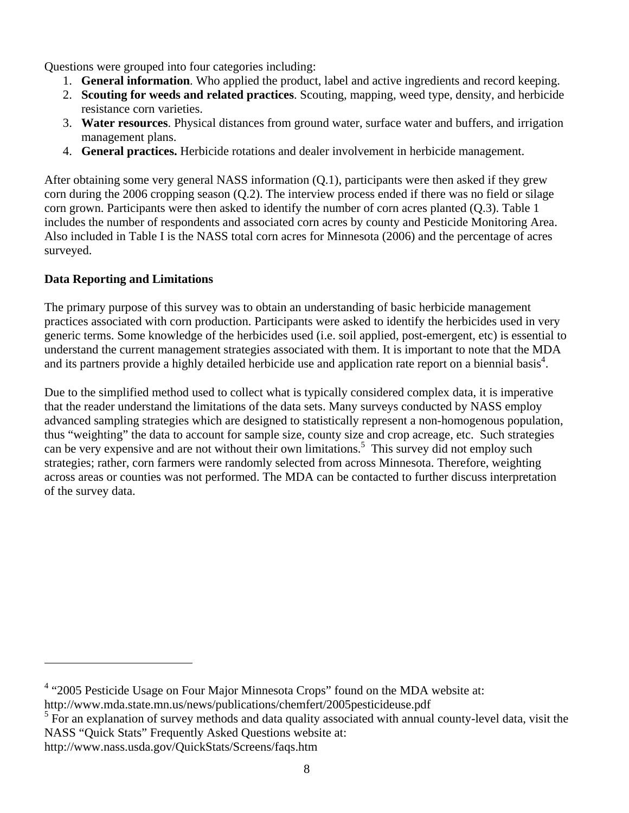Questions were grouped into four categories including:

- 1. **General information**. Who applied the product, label and active ingredients and record keeping.
- 2. **Scouting for weeds and related practices**. Scouting, mapping, weed type, density, and herbicide resistance corn varieties.
- 3. **Water resources**. Physical distances from ground water, surface water and buffers, and irrigation management plans.
- 4. **General practices.** Herbicide rotations and dealer involvement in herbicide management.

After obtaining some very general NASS information (Q.1), participants were then asked if they grew corn during the 2006 cropping season (Q.2). The interview process ended if there was no field or silage corn grown. Participants were then asked to identify the number of corn acres planted (Q.3). Table 1 includes the number of respondents and associated corn acres by county and Pesticide Monitoring Area. Also included in Table I is the NASS total corn acres for Minnesota (2006) and the percentage of acres surveyed.

## **Data Reporting and Limitations**

The primary purpose of this survey was to obtain an understanding of basic herbicide management practices associated with corn production. Participants were asked to identify the herbicides used in very generic terms. Some knowledge of the herbicides used (i.e. soil applied, post-emergent, etc) is essential to understand the current management strategies associated with them. It is important to note that the MDA and its partners provide a highly detailed herbicide use and application rate report on a biennial basis<sup>4</sup>.

Due to the simplified method used to collect what is typically considered complex data, it is imperative that the reader understand the limitations of the data sets. Many surveys conducted by NASS employ advanced sampling strategies which are designed to statistically represent a non-homogenous population, thus "weighting" the data to account for sample size, county size and crop acreage, etc. Such strategies can be very expensive and are not without their own limitations.<sup>5</sup> This survey did not employ such strategies; rather, corn farmers were randomly selected from across Minnesota. Therefore, weighting across areas or counties was not performed. The MDA can be contacted to further discuss interpretation of the survey data.

 $\overline{a}$ 

<sup>&</sup>lt;sup>4</sup> "2005 Pesticide Usage on Four Major Minnesota Crops" found on the MDA website at: http://www.mda.state.mn.us/news/publications/chemfert/2005pesticideuse.pdf

<sup>&</sup>lt;sup>5</sup> For an explanation of survey methods and data quality associated with annual county-level data, visit the NASS "Quick Stats" Frequently Asked Questions website at:

http://www.nass.usda.gov/QuickStats/Screens/faqs.htm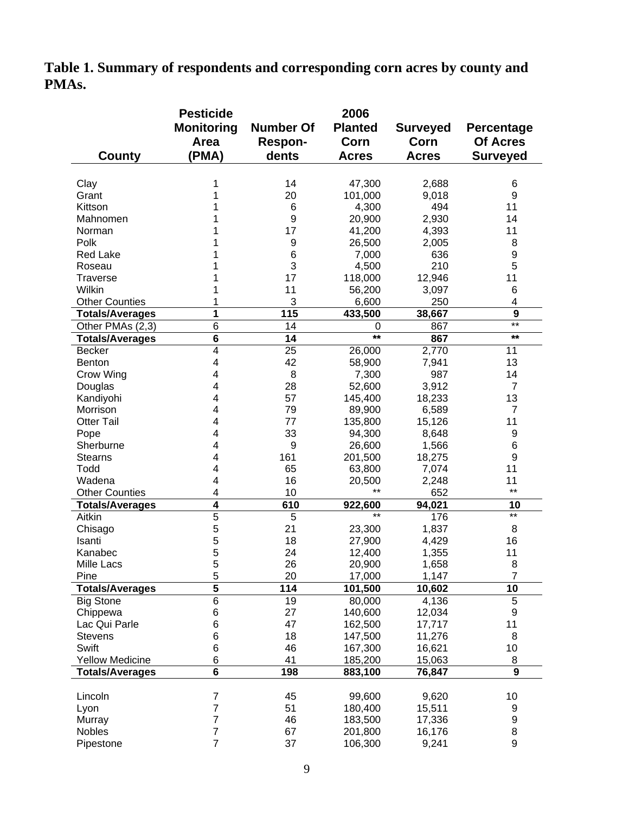**Table 1. Summary of respondents and corresponding corn acres by county and PMAs.** 

|                        | <b>Pesticide</b>  |                  | 2006              |                 |                   |
|------------------------|-------------------|------------------|-------------------|-----------------|-------------------|
|                        | <b>Monitoring</b> | <b>Number Of</b> | <b>Planted</b>    | <b>Surveyed</b> | <b>Percentage</b> |
|                        | Area              | <b>Respon-</b>   | Corn              | Corn            | Of Acres          |
|                        | (PMA)             | dents            | <b>Acres</b>      | <b>Acres</b>    | <b>Surveyed</b>   |
| County                 |                   |                  |                   |                 |                   |
|                        |                   |                  |                   |                 |                   |
| Clay                   | 1                 | 14               | 47,300            | 2,688           | 6                 |
| Grant                  |                   | 20               | 101,000           | 9,018           | 9                 |
| Kittson                |                   | 6                | 4,300             | 494             | 11                |
| Mahnomen               |                   | 9                | 20,900            | 2,930           | 14                |
| Norman                 |                   | 17               | 41,200            | 4,393           | 11                |
| Polk                   |                   | $\boldsymbol{9}$ | 26,500            | 2,005           | 8                 |
| <b>Red Lake</b>        |                   | 6                | 7,000             | 636             | 9                 |
| Roseau                 |                   | 3                | 4,500             | 210             | 5                 |
| <b>Traverse</b>        |                   | 17               | 118,000           | 12,946          | 11                |
| Wilkin                 |                   | 11               | 56,200            | 3,097           | 6                 |
| <b>Other Counties</b>  |                   | 3                | 6,600             | 250             | 4                 |
| Totals/Averages        | 1                 | 115              | 433,500           | 38,667          | 9<br>$***$        |
| Other PMAs (2,3)       | $\overline{6}$    | 14               | 0<br>$\star\star$ | 867             | $\star\star$      |
| <b>Totals/Averages</b> | 6                 | 14               |                   | 867             |                   |
| <b>Becker</b>          | 4                 | 25               | 26,000            | 2,770           | 11                |
| <b>Benton</b>          | 4                 | 42               | 58,900            | 7,941           | 13                |
| Crow Wing              | 4                 | 8                | 7,300             | 987             | 14                |
| Douglas                | 4                 | 28               | 52,600            | 3,912           | 7                 |
| Kandiyohi              | 4                 | 57               | 145,400           | 18,233          | 13                |
| Morrison               | 4                 | 79               | 89,900            | 6,589           | 7                 |
| <b>Otter Tail</b>      | 4                 | 77               | 135,800           | 15,126          | 11                |
| Pope                   | 4                 | 33               | 94,300            | 8,648           | 9                 |
| Sherburne              | 4                 | 9                | 26,600            | 1,566           | 6                 |
| <b>Stearns</b>         | 4                 | 161              | 201,500           | 18,275          | 9                 |
| Todd                   | 4                 | 65               | 63,800            | 7,074           | 11                |
| Wadena                 | 4                 | 16               | 20,500            | 2,248           | 11                |
| <b>Other Counties</b>  | 4                 | 10               | $***$             | 652             | $***$             |
| <b>Totals/Averages</b> | 4                 | 610              | 922,600<br>$***$  | 94,021          | 10<br>$***$       |
| Aitkin                 | 5                 | 5                |                   | 176             |                   |
| Chisago                | 5                 | 21               | 23,300            | 1,837           | 8                 |
| Isanti                 | 5                 | 18               | 27,900            | 4,429           | 16                |
| Kanabec                | 5                 | 24               | 12,400            | 1,355           | 11                |
| Mille Lacs             | 5                 | 26               | 20,900            | 1,658           | 8                 |
| Pine                   | 5                 | 20               | 17,000            | 1,147           | 7                 |
| <b>Totals/Averages</b> | $\overline{5}$    | 114              | 101,500           | 10,602          | 10                |
| <b>Big Stone</b>       | $\overline{6}$    | 19               | 80,000            | 4,136           | 5                 |
| Chippewa               | 6                 | 27               | 140,600           | 12,034          | 9                 |
| Lac Qui Parle          | 6                 | 47               | 162,500           | 17,717          | 11                |
| <b>Stevens</b>         | 6                 | 18               | 147,500           | 11,276          | 8                 |
| Swift                  | 6                 | 46               | 167,300           | 16,621          | 10                |
| <b>Yellow Medicine</b> | 6                 | 41               | 185,200           | 15,063          | 8                 |
| <b>Totals/Averages</b> | 6                 | 198              | 883,100           | 76,847          | 9                 |
|                        |                   |                  |                   |                 |                   |
| Lincoln                | 7                 | 45               | 99,600            | 9,620           | 10                |
| Lyon                   | 7                 | 51               | 180,400           | 15,511          | 9                 |
| Murray                 | 7                 | 46               | 183,500           | 17,336          | 9                 |
| Nobles                 | $\overline{7}$    | 67               | 201,800           | 16,176          | 8                 |
| Pipestone              | 7                 | 37               | 106,300           | 9,241           | 9                 |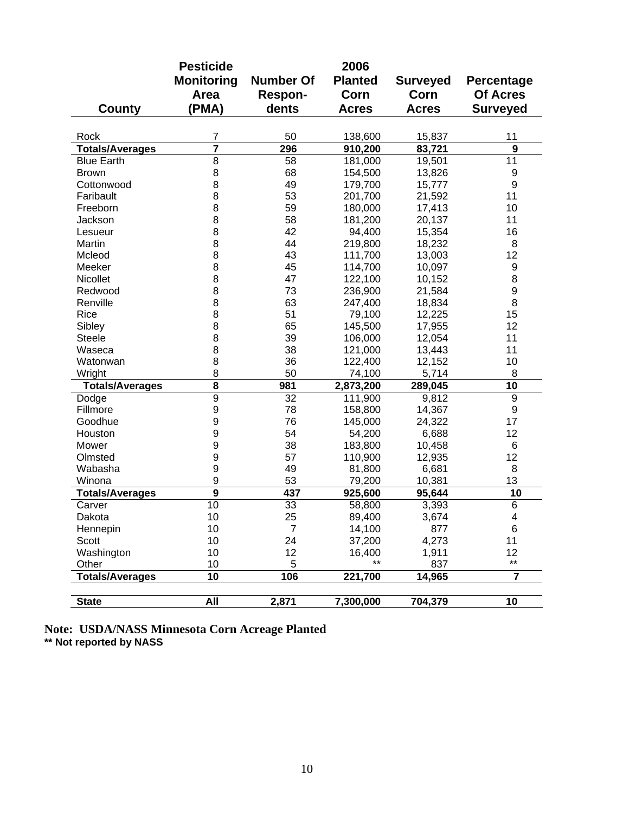|                        | <b>Pesticide</b>  |                  | 2006           |                 |                  |
|------------------------|-------------------|------------------|----------------|-----------------|------------------|
|                        | <b>Monitoring</b> | <b>Number Of</b> | <b>Planted</b> | <b>Surveyed</b> | Percentage       |
|                        | Area              | <b>Respon-</b>   | Corn           | Corn            | <b>Of Acres</b>  |
| County                 | (PMA)             | dents            | <b>Acres</b>   | <b>Acres</b>    | <b>Surveyed</b>  |
|                        |                   |                  |                |                 |                  |
| Rock                   | 7                 | 50               | 138,600        | 15,837          | 11               |
| <b>Totals/Averages</b> | 7                 | 296              | 910,200        | 83,721          | 9                |
| <b>Blue Earth</b>      | 8                 | 58               | 181,000        | 19,501          | 11               |
| <b>Brown</b>           | 8                 | 68               | 154,500        | 13,826          | 9                |
| Cottonwood             | 8                 | 49               | 179,700        | 15,777          | $\boldsymbol{9}$ |
| Faribault              | 8                 | 53               | 201,700        | 21,592          | 11               |
| Freeborn               | 8                 | 59               | 180,000        | 17,413          | 10               |
| Jackson                | 8                 | 58               | 181,200        | 20,137          | 11               |
| Lesueur                | 8                 | 42               | 94,400         | 15,354          | 16               |
| Martin                 | 8                 | 44               | 219,800        | 18,232          | 8                |
| Mcleod                 | 8                 | 43               | 111,700        | 13,003          | 12               |
| Meeker                 | 8                 | 45               | 114,700        | 10,097          | 9                |
| Nicollet               | 8                 | 47               | 122,100        | 10,152          | 8                |
| Redwood                | 8                 | 73               | 236,900        | 21,584          | 9                |
| Renville               | 8                 | 63               | 247,400        | 18,834          | 8                |
| Rice                   | 8                 | 51               | 79,100         | 12,225          | 15               |
| Sibley                 | 8                 | 65               | 145,500        | 17,955          | 12               |
| <b>Steele</b>          | 8                 | 39               | 106,000        | 12,054          | 11               |
| Waseca                 | 8                 | 38               | 121,000        | 13,443          | 11               |
| Watonwan               | 8                 | 36               | 122,400        | 12,152          | 10               |
| Wright                 | 8                 | 50               | 74,100         | 5,714           | 8                |
| <b>Totals/Averages</b> | 8                 | 981              | 2,873,200      | 289,045         | 10               |
| Dodge                  | 9                 | 32               | 111,900        | 9,812           | $\boldsymbol{9}$ |
| Fillmore               | 9                 | 78               | 158,800        | 14,367          | $\boldsymbol{9}$ |
| Goodhue                | 9                 | 76               | 145,000        | 24,322          | 17               |
| Houston                | 9                 | 54               | 54,200         | 6,688           | 12               |
| Mower                  | 9                 | 38               | 183,800        | 10,458          | 6                |
| Olmsted                | 9                 | 57               | 110,900        | 12,935          | 12               |
| Wabasha                | 9                 | 49               | 81,800         | 6,681           | 8                |
| Winona                 | 9                 | 53               | 79,200         | 10,381          | 13               |
| <b>Totals/Averages</b> | $\overline{9}$    | 437              | 925,600        | 95,644          | 10               |
| Carver                 | 10                | 33               | 58,800         | 3,393           | $\overline{6}$   |
| Dakota                 | 10                | 25               | 89,400         | 3,674           | 4                |
| Hennepin               | 10                | $\overline{7}$   | 14,100         | 877             | $\,6$            |
| Scott                  | 10                | 24               | 37,200         | 4,273           | 11               |
| Washington             | 10                | 12               | 16,400         | 1,911           | 12               |
| Other                  | 10                | 5                | $***$          | 837             | $^{\star\star}$  |
| <b>Totals/Averages</b> | 10                | 106              | 221,700        | 14,965          | $\overline{7}$   |
| <b>State</b>           | All               | 2,871            | 7,300,000      | 704,379         | 10               |

**Note: USDA/NASS Minnesota Corn Acreage Planted \*\* Not reported by NASS**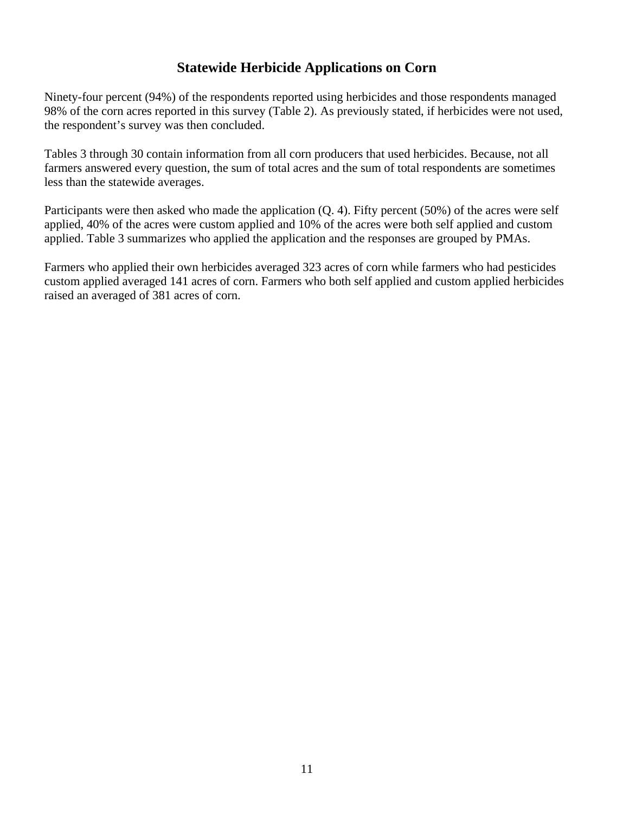## **Statewide Herbicide Applications on Corn**

Ninety-four percent (94%) of the respondents reported using herbicides and those respondents managed 98% of the corn acres reported in this survey (Table 2). As previously stated, if herbicides were not used, the respondent's survey was then concluded.

Tables 3 through 30 contain information from all corn producers that used herbicides. Because, not all farmers answered every question, the sum of total acres and the sum of total respondents are sometimes less than the statewide averages.

Participants were then asked who made the application (Q. 4). Fifty percent (50%) of the acres were self applied, 40% of the acres were custom applied and 10% of the acres were both self applied and custom applied. Table 3 summarizes who applied the application and the responses are grouped by PMAs.

Farmers who applied their own herbicides averaged 323 acres of corn while farmers who had pesticides custom applied averaged 141 acres of corn. Farmers who both self applied and custom applied herbicides raised an averaged of 381 acres of corn.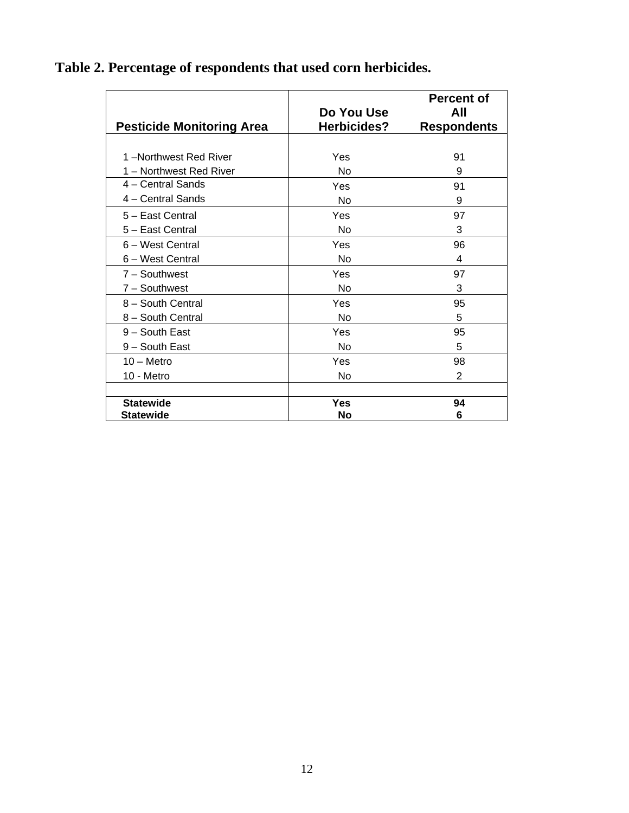| Table 2. Percentage of respondents that used corn herbicides. |  |
|---------------------------------------------------------------|--|
|                                                               |  |

| <b>Pesticide Monitoring Area</b> | Do You Use<br>Herbicides? | <b>Percent of</b><br>All<br><b>Respondents</b> |
|----------------------------------|---------------------------|------------------------------------------------|
|                                  |                           |                                                |
| 1-Northwest Red River            | Yes                       | 91                                             |
| 1 - Northwest Red River          | No                        | 9                                              |
| 4 - Central Sands                | Yes                       | 91                                             |
| 4 – Central Sands                | No                        | 9                                              |
| 5 - East Central                 | Yes                       | 97                                             |
| 5 - East Central                 | No                        | 3                                              |
| 6 - West Central                 | Yes                       | 96                                             |
| 6 - West Central                 | No                        | 4                                              |
| $7 -$ Southwest                  | Yes                       | 97                                             |
| 7 - Southwest                    | No                        | 3                                              |
| 8 - South Central                | Yes                       | 95                                             |
| 8 - South Central                | No                        | 5                                              |
| 9 - South East                   | Yes                       | 95                                             |
| 9 - South East                   | No                        | 5                                              |
| $10 -$ Metro                     | Yes                       | 98                                             |
| 10 - Metro                       | No                        | 2                                              |
|                                  |                           |                                                |
| <b>Statewide</b>                 | Yes                       | 94                                             |
| <b>Statewide</b>                 | <b>No</b>                 | 6                                              |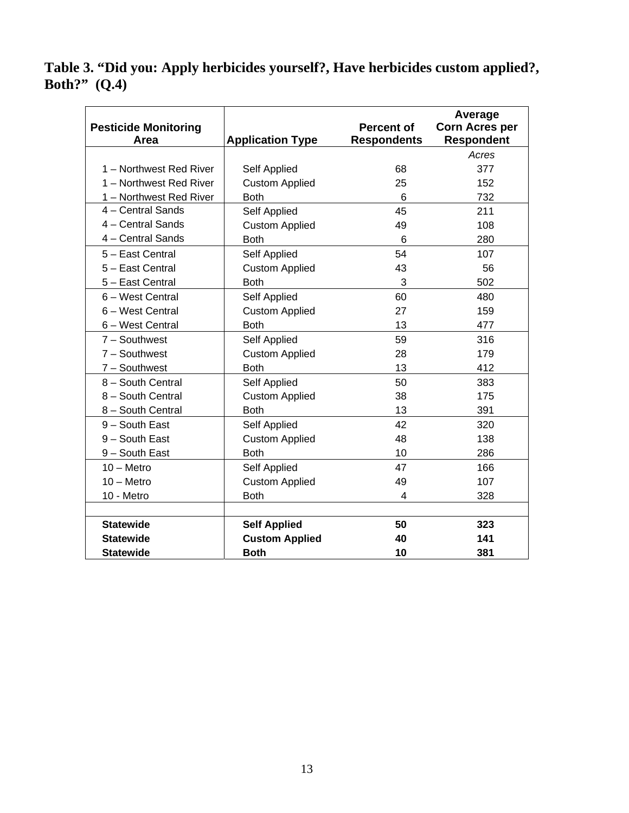## **Table 3. "Did you: Apply herbicides yourself?, Have herbicides custom applied?, Both?" (Q.4)**

|                                     |                         |                                         | Average                                    |
|-------------------------------------|-------------------------|-----------------------------------------|--------------------------------------------|
| <b>Pesticide Monitoring</b><br>Area | <b>Application Type</b> | <b>Percent of</b><br><b>Respondents</b> | <b>Corn Acres per</b><br><b>Respondent</b> |
|                                     |                         |                                         | Acres                                      |
| 1 - Northwest Red River             | Self Applied            | 68                                      | 377                                        |
| 1 - Northwest Red River             | <b>Custom Applied</b>   | 25                                      | 152                                        |
| 1 - Northwest Red River             | <b>Both</b>             | 6                                       | 732                                        |
| 4 - Central Sands                   | Self Applied            | 45                                      | 211                                        |
| 4 - Central Sands                   | <b>Custom Applied</b>   | 49                                      | 108                                        |
| 4 - Central Sands                   | <b>Both</b>             | 6                                       | 280                                        |
| 5 - East Central                    | Self Applied            | 54                                      | 107                                        |
| 5 - East Central                    | <b>Custom Applied</b>   | 43                                      | 56                                         |
| 5 - East Central                    | <b>Both</b>             | 3                                       | 502                                        |
| 6 - West Central                    | Self Applied            | 60                                      | 480                                        |
| 6 - West Central                    | <b>Custom Applied</b>   | 27                                      | 159                                        |
| 6 - West Central                    | <b>Both</b>             | 13                                      | 477                                        |
| $7 -$ Southwest                     | Self Applied            | 59                                      | 316                                        |
| $7 -$ Southwest                     | <b>Custom Applied</b>   | 28                                      | 179                                        |
| $7 -$ Southwest                     | <b>Both</b>             | 13                                      | 412                                        |
| 8 - South Central                   | Self Applied            | 50                                      | 383                                        |
| 8 - South Central                   | <b>Custom Applied</b>   | 38                                      | 175                                        |
| 8 - South Central                   | <b>Both</b>             | 13                                      | 391                                        |
| 9 - South East                      | Self Applied            | 42                                      | 320                                        |
| 9 - South East                      | <b>Custom Applied</b>   | 48                                      | 138                                        |
| 9 - South East                      | <b>Both</b>             | 10                                      | 286                                        |
| $10 -$ Metro                        | Self Applied            | 47                                      | 166                                        |
| $10 -$ Metro                        | <b>Custom Applied</b>   | 49                                      | 107                                        |
| 10 - Metro                          | <b>Both</b>             | 4                                       | 328                                        |
|                                     |                         |                                         |                                            |
| <b>Statewide</b>                    | <b>Self Applied</b>     | 50                                      | 323                                        |
| <b>Statewide</b>                    | <b>Custom Applied</b>   | 40                                      | 141                                        |
| <b>Statewide</b>                    | <b>Both</b>             | 10                                      | 381                                        |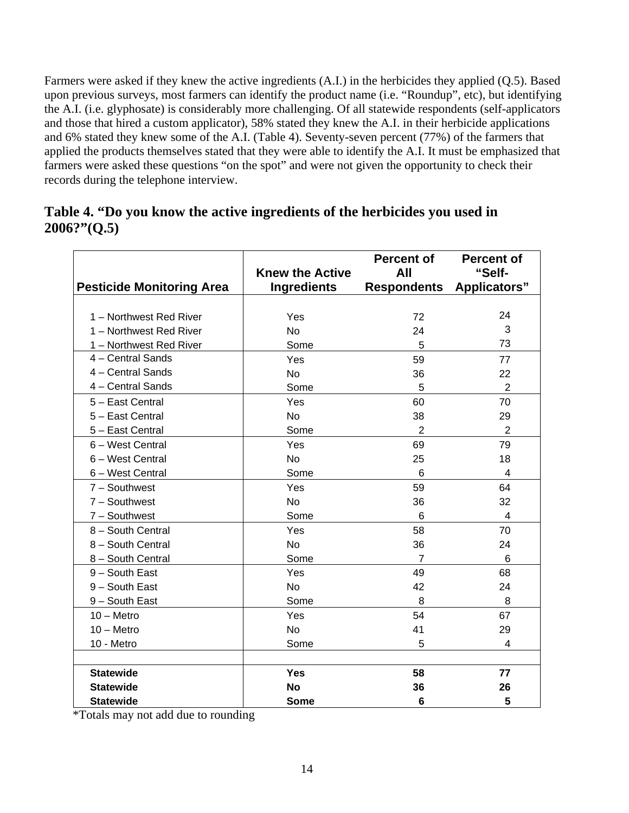Farmers were asked if they knew the active ingredients (A.I.) in the herbicides they applied (Q.5). Based upon previous surveys, most farmers can identify the product name (i.e. "Roundup", etc), but identifying the A.I. (i.e. glyphosate) is considerably more challenging. Of all statewide respondents (self-applicators and those that hired a custom applicator), 58% stated they knew the A.I. in their herbicide applications and 6% stated they knew some of the A.I. (Table 4). Seventy-seven percent (77%) of the farmers that applied the products themselves stated that they were able to identify the A.I. It must be emphasized that farmers were asked these questions "on the spot" and were not given the opportunity to check their records during the telephone interview.

| Table 4. "Do you know the active ingredients of the herbicides you used in |  |
|----------------------------------------------------------------------------|--|
| 2006?"(Q.5)                                                                |  |

|                                  |                        | <b>Percent of</b>  | <b>Percent of</b>   |
|----------------------------------|------------------------|--------------------|---------------------|
|                                  | <b>Knew the Active</b> | All                | "Self-              |
| <b>Pesticide Monitoring Area</b> | <b>Ingredients</b>     | <b>Respondents</b> | <b>Applicators"</b> |
|                                  |                        |                    |                     |
| 1 - Northwest Red River          | Yes                    | 72                 | 24                  |
| 1 - Northwest Red River          | <b>No</b>              | 24                 | 3                   |
| 1 - Northwest Red River          | Some                   | 5                  | 73                  |
| 4 - Central Sands                | Yes                    | 59                 | 77                  |
| 4 - Central Sands                | <b>No</b>              | 36                 | 22                  |
| 4 - Central Sands                | Some                   | 5                  | $\overline{2}$      |
| 5 - East Central                 | Yes                    | 60                 | 70                  |
| 5 - East Central                 | <b>No</b>              | 38                 | 29                  |
| 5 - East Central                 | Some                   | 2                  | 2                   |
| 6 - West Central                 | Yes                    | 69                 | 79                  |
| 6 - West Central                 | No.                    | 25                 | 18                  |
| 6 - West Central                 | Some                   | 6                  | 4                   |
| $7 -$ Southwest                  | Yes                    | 59                 | 64                  |
| $7 -$ Southwest                  | <b>No</b>              | 36                 | 32                  |
| $7 -$ Southwest                  | Some                   | 6                  | 4                   |
| 8 - South Central                | Yes                    | 58                 | 70                  |
| 8 - South Central                | No                     | 36                 | 24                  |
| 8 - South Central                | Some                   | 7                  | 6                   |
| 9 - South East                   | Yes                    | 49                 | 68                  |
| 9 - South East                   | <b>No</b>              | 42                 | 24                  |
| 9 - South East                   | Some                   | 8                  | 8                   |
| $10 -$ Metro                     | Yes                    | 54                 | 67                  |
| $10 -$ Metro                     | No                     | 41                 | 29                  |
| 10 - Metro                       | Some                   | 5                  | 4                   |
|                                  |                        |                    |                     |
| <b>Statewide</b>                 | <b>Yes</b>             | 58                 | 77                  |
| <b>Statewide</b>                 | <b>No</b>              | 36                 | 26                  |
| <b>Statewide</b>                 | <b>Some</b>            | 6                  | 5                   |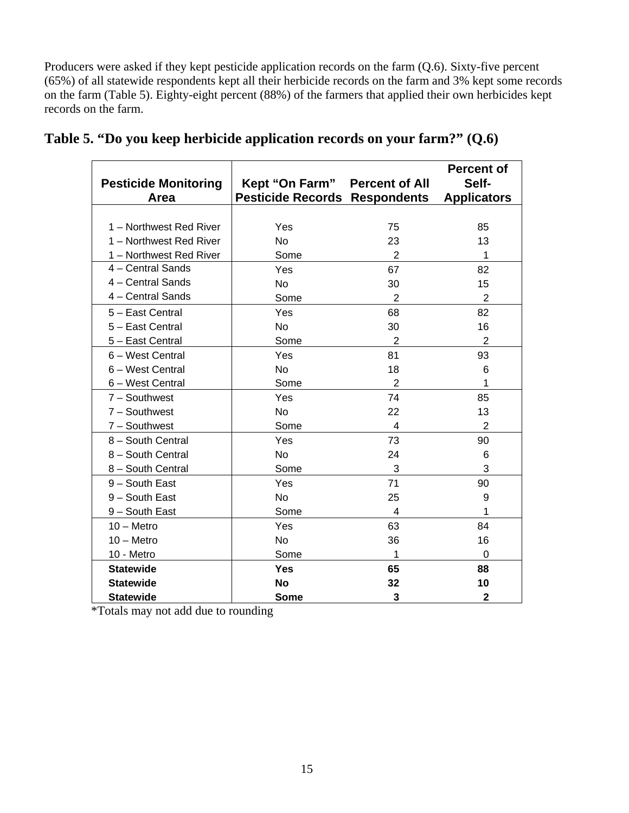Producers were asked if they kept pesticide application records on the farm (Q.6). Sixty-five percent (65%) of all statewide respondents kept all their herbicide records on the farm and 3% kept some records on the farm (Table 5). Eighty-eight percent (88%) of the farmers that applied their own herbicides kept records on the farm.

| <b>Pesticide Monitoring</b><br>Area | Kept "On Farm"<br><b>Pesticide Records Respondents</b> | <b>Percent of All</b>   | <b>Percent of</b><br>Self-<br><b>Applicators</b> |
|-------------------------------------|--------------------------------------------------------|-------------------------|--------------------------------------------------|
|                                     |                                                        |                         |                                                  |
| 1 - Northwest Red River             | Yes                                                    | 75                      | 85                                               |
| 1 - Northwest Red River             | <b>No</b>                                              | 23                      | 13                                               |
| 1 - Northwest Red River             | Some                                                   | 2                       | 1                                                |
| 4 - Central Sands                   | Yes                                                    | 67                      | 82                                               |
| 4 - Central Sands                   | <b>No</b>                                              | 30                      | 15                                               |
| 4 - Central Sands                   | Some                                                   | 2                       | $\overline{2}$                                   |
| 5 - East Central                    | Yes                                                    | 68                      | 82                                               |
| 5 - East Central                    | No                                                     | 30                      | 16                                               |
| 5 - East Central                    | Some                                                   | 2                       | $\overline{2}$                                   |
| 6 – West Central                    | Yes                                                    | 81                      | 93                                               |
| 6 - West Central                    | <b>No</b>                                              | 18                      | 6                                                |
| 6 - West Central                    | Some                                                   | 2                       | 1                                                |
| $7 -$ Southwest                     | Yes                                                    | 74                      | 85                                               |
| $7 -$ Southwest                     | <b>No</b>                                              | 22                      | 13                                               |
| $7 -$ Southwest                     | Some                                                   | $\overline{\mathbf{4}}$ | $\overline{2}$                                   |
| 8 - South Central                   | Yes                                                    | 73                      | 90                                               |
| 8 - South Central                   | <b>No</b>                                              | 24                      | 6                                                |
| 8 - South Central                   | Some                                                   | 3                       | 3                                                |
| 9 - South East                      | Yes                                                    | 71                      | 90                                               |
| 9 - South East                      | <b>No</b>                                              | 25                      | 9                                                |
| 9 - South East                      | Some                                                   | 4                       | 1                                                |
| $10 -$ Metro                        | Yes                                                    | 63                      | 84                                               |
| $10 -$ Metro                        | <b>No</b>                                              | 36                      | 16                                               |
| 10 - Metro                          | Some                                                   | 1                       | 0                                                |
| <b>Statewide</b>                    | <b>Yes</b>                                             | 65                      | 88                                               |
| <b>Statewide</b>                    | <b>No</b>                                              | 32                      | 10                                               |
| <b>Statewide</b>                    | <b>Some</b>                                            | 3                       | 2                                                |

|  | Table 5. "Do you keep herbicide application records on your farm?" $(Q.6)$ |  |  |
|--|----------------------------------------------------------------------------|--|--|
|  |                                                                            |  |  |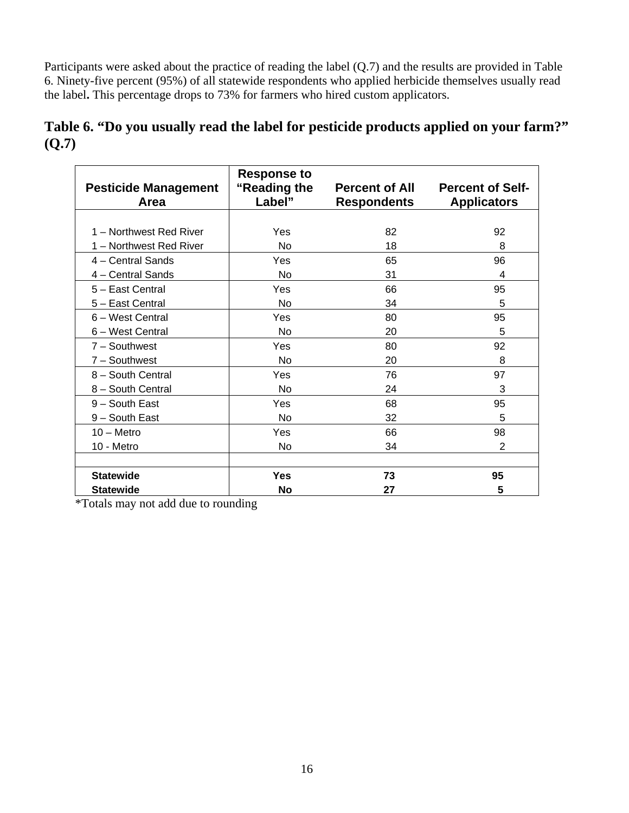Participants were asked about the practice of reading the label (Q.7) and the results are provided in Table 6. Ninety-five percent (95%) of all statewide respondents who applied herbicide themselves usually read the label**.** This percentage drops to 73% for farmers who hired custom applicators.

|       |  | Table 6. "Do you usually read the label for pesticide products applied on your farm?" |  |
|-------|--|---------------------------------------------------------------------------------------|--|
| (Q.7) |  |                                                                                       |  |

| <b>Pesticide Management</b><br>Area | <b>Response to</b><br>"Reading the<br>Label" | <b>Percent of All</b><br><b>Respondents</b> | <b>Percent of Self-</b><br><b>Applicators</b> |
|-------------------------------------|----------------------------------------------|---------------------------------------------|-----------------------------------------------|
|                                     |                                              |                                             |                                               |
| 1 - Northwest Red River             | Yes                                          | 82                                          | 92                                            |
| 1 - Northwest Red River             | No                                           | 18                                          | 8                                             |
| 4 - Central Sands                   | Yes                                          | 65                                          | 96                                            |
| 4 - Central Sands                   | No                                           | 31                                          | 4                                             |
| 5 - East Central                    | Yes                                          | 66                                          | 95                                            |
| 5 - East Central                    | <b>No</b>                                    | 34                                          | 5                                             |
| 6 - West Central                    | Yes                                          | 80                                          | 95                                            |
| 6 - West Central                    | No                                           | 20                                          | 5                                             |
| $7 -$ Southwest                     | Yes                                          | 80                                          | 92                                            |
| $7 -$ Southwest                     | <b>No</b>                                    | 20                                          | 8                                             |
| 8 - South Central                   | Yes                                          | 76                                          | 97                                            |
| 8 - South Central                   | No                                           | 24                                          | 3                                             |
| 9 - South East                      | Yes                                          | 68                                          | 95                                            |
| 9 - South East                      | <b>No</b>                                    | 32                                          | 5                                             |
| $10 -$ Metro                        | Yes                                          | 66                                          | 98                                            |
| 10 - Metro                          | <b>No</b>                                    | 34                                          | 2                                             |
|                                     |                                              |                                             |                                               |
| <b>Statewide</b>                    | <b>Yes</b>                                   | 73                                          | 95                                            |
| <b>Statewide</b>                    | <b>No</b>                                    | 27                                          | 5                                             |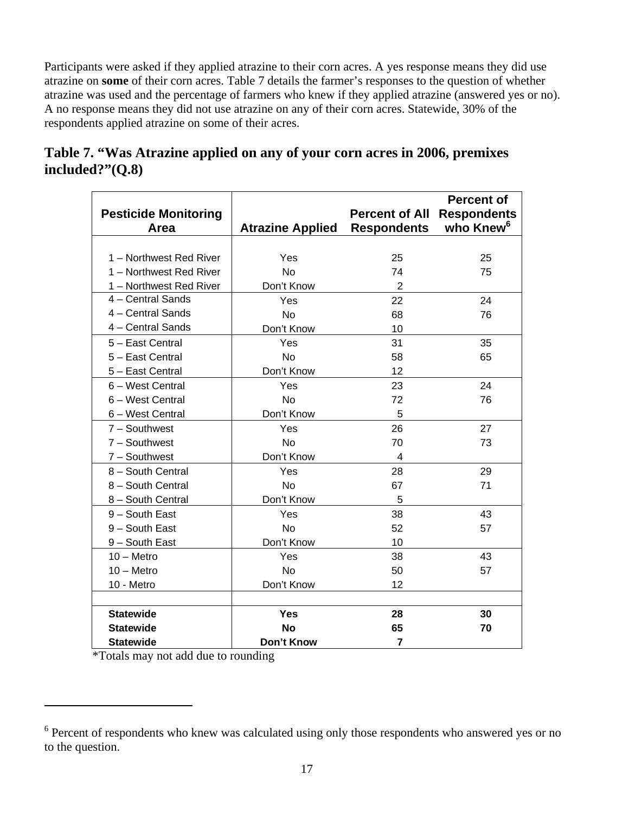Participants were asked if they applied atrazine to their corn acres. A yes response means they did use atrazine on **some** of their corn acres. Table 7 details the farmer's responses to the question of whether atrazine was used and the percentage of farmers who knew if they applied atrazine (answered yes or no). A no response means they did not use atrazine on any of their corn acres. Statewide, 30% of the respondents applied atrazine on some of their acres.

| <b>Pesticide Monitoring</b><br>Area | <b>Atrazine Applied</b> | <b>Percent of All</b><br><b>Respondents</b> | <b>Percent of</b><br><b>Respondents</b><br>who Knew <sup>6</sup> |
|-------------------------------------|-------------------------|---------------------------------------------|------------------------------------------------------------------|
|                                     |                         |                                             |                                                                  |
| 1 - Northwest Red River             | Yes                     | 25                                          | 25                                                               |
| 1 - Northwest Red River             | <b>No</b>               | 74                                          | 75                                                               |
| 1 - Northwest Red River             | Don't Know              | $\overline{2}$                              |                                                                  |
| 4 - Central Sands                   | Yes                     | 22                                          | 24                                                               |
| 4 - Central Sands                   | <b>No</b>               | 68                                          | 76                                                               |
| 4 - Central Sands                   | Don't Know              | 10                                          |                                                                  |
| 5 - East Central                    | Yes                     | 31                                          | 35                                                               |
| 5 - East Central                    | <b>No</b>               | 58                                          | 65                                                               |
| 5 - East Central                    | Don't Know              | 12                                          |                                                                  |
| 6 – West Central                    | Yes                     | 23                                          | 24                                                               |
| 6 - West Central                    | <b>No</b>               | 72                                          | 76                                                               |
| 6 - West Central                    | Don't Know              | 5                                           |                                                                  |
| $7 -$ Southwest                     | Yes                     | 26                                          | 27                                                               |
| $7 -$ Southwest                     | <b>No</b>               | 70                                          | 73                                                               |
| 7 - Southwest                       | Don't Know              | $\overline{\mathcal{A}}$                    |                                                                  |
| 8 - South Central                   | Yes                     | 28                                          | 29                                                               |
| 8 - South Central                   | <b>No</b>               | 67                                          | 71                                                               |
| 8 - South Central                   | Don't Know              | 5                                           |                                                                  |
| $9 -$ South East                    | Yes                     | 38                                          | 43                                                               |
| 9 - South East                      | <b>No</b>               | 52                                          | 57                                                               |
| 9 - South East                      | Don't Know              | 10                                          |                                                                  |
| $10 -$ Metro                        | Yes                     | 38                                          | 43                                                               |
| $10 -$ Metro                        | <b>No</b>               | 50                                          | 57                                                               |
| 10 - Metro                          | Don't Know              | 12                                          |                                                                  |
|                                     |                         |                                             |                                                                  |
| <b>Statewide</b>                    | <b>Yes</b>              | 28                                          | 30                                                               |
| <b>Statewide</b>                    | <b>No</b>               | 65                                          | 70                                                               |
| <b>Statewide</b>                    | Don't Know              | 7                                           |                                                                  |

## **Table 7. "Was Atrazine applied on any of your corn acres in 2006, premixes included?"(Q.8)**

\*Totals may not add due to rounding

 $\overline{a}$ 

<sup>&</sup>lt;sup>6</sup> Percent of respondents who knew was calculated using only those respondents who answered yes or no to the question.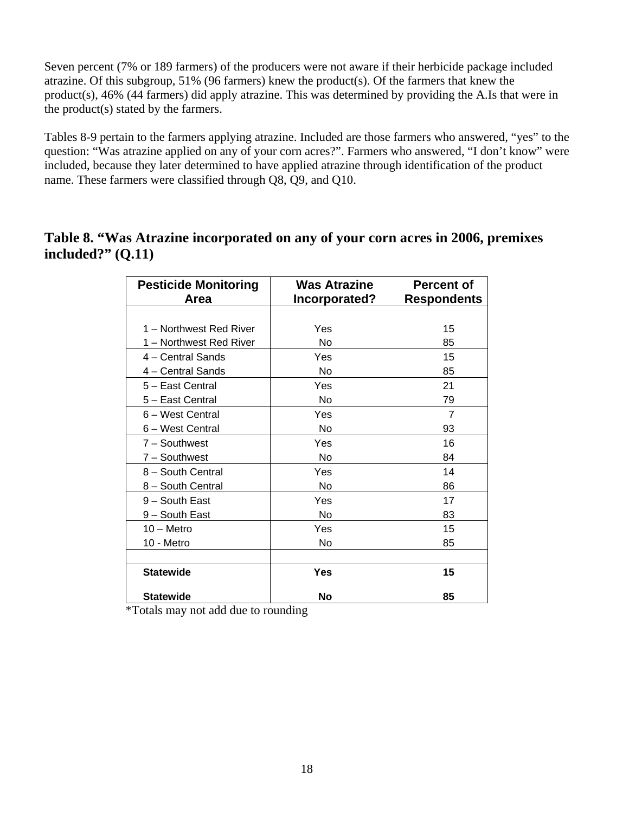Seven percent (7% or 189 farmers) of the producers were not aware if their herbicide package included atrazine. Of this subgroup, 51% (96 farmers) knew the product(s). Of the farmers that knew the product(s), 46% (44 farmers) did apply atrazine. This was determined by providing the A.Is that were in the product(s) stated by the farmers.

Tables 8-9 pertain to the farmers applying atrazine. Included are those farmers who answered, "yes" to the question: "Was atrazine applied on any of your corn acres?". Farmers who answered, "I don't know" were included, because they later determined to have applied atrazine through identification of the product name. These farmers were classified through Q8, Q9, and Q10.

## **Table 8. "Was Atrazine incorporated on any of your corn acres in 2006, premixes included?" (Q.11)**

| <b>Pesticide Monitoring</b> | <b>Was Atrazine</b> | <b>Percent of</b>  |
|-----------------------------|---------------------|--------------------|
| Area                        | Incorporated?       | <b>Respondents</b> |
|                             |                     |                    |
| 1 - Northwest Red River     | Yes                 | 15                 |
| 1 – Northwest Red River     | No                  | 85                 |
| 4 – Central Sands           | Yes                 | 15                 |
| 4 - Central Sands           | No                  | 85                 |
| 5 - East Central            | Yes                 | 21                 |
| 5 - East Central            | No                  | 79                 |
| 6 - West Central            | Yes                 | $\overline{7}$     |
| 6 - West Central            | No                  | 93                 |
| 7 - Southwest               | Yes                 | 16                 |
| 7 - Southwest               | <b>No</b>           | 84                 |
| 8 - South Central           | Yes                 | 14                 |
| 8 - South Central           | No                  | 86                 |
| 9 - South East              | Yes                 | 17                 |
| 9 - South East              | No                  | 83                 |
| $10 -$ Metro                | Yes                 | 15                 |
| 10 - Metro                  | No                  | 85                 |
|                             |                     |                    |
| <b>Statewide</b>            | Yes                 | 15                 |
| <b>Statewide</b>            | No                  | 85                 |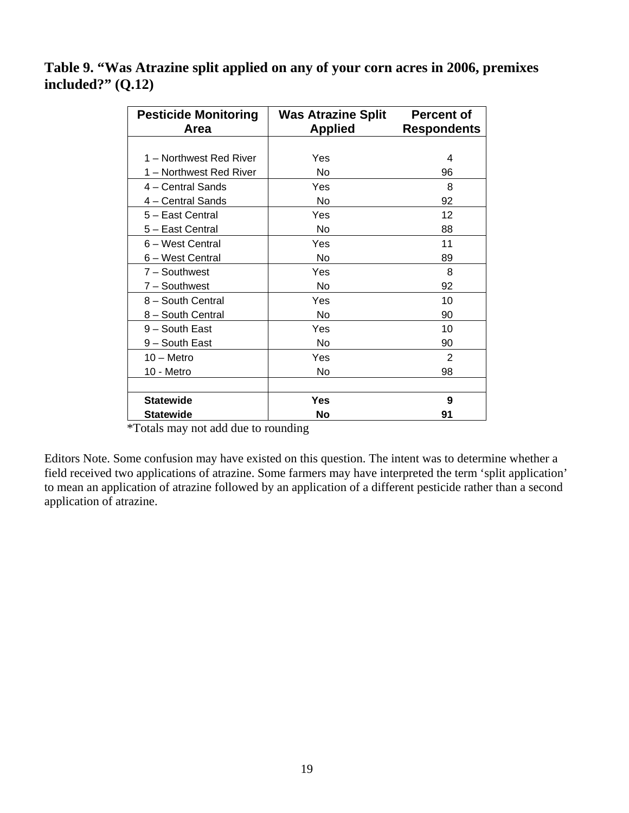**Table 9. "Was Atrazine split applied on any of your corn acres in 2006, premixes included?" (Q.12)** 

| <b>Pesticide Monitoring</b> | <b>Was Atrazine Split</b> | <b>Percent of</b>  |
|-----------------------------|---------------------------|--------------------|
| Area                        | <b>Applied</b>            | <b>Respondents</b> |
|                             |                           |                    |
| 1 – Northwest Red River     | Yes                       | 4                  |
| 1 – Northwest Red River     | No                        | 96                 |
| 4 – Central Sands           | Yes                       | 8                  |
| 4 - Central Sands           | No                        | 92                 |
| 5 - East Central            | Yes                       | 12                 |
| 5 - East Central            | No                        | 88                 |
| 6 – West Central            | Yes                       | 11                 |
| 6 – West Central            | No                        | 89                 |
| $7 -$ Southwest             | Yes                       | 8                  |
| 7 - Southwest               | No                        | 92                 |
| 8 - South Central           | Yes                       | 10                 |
| 8 - South Central           | No                        | 90                 |
| 9 - South East              | Yes                       | 10                 |
| 9 – South East              | No                        | 90                 |
| $10 -$ Metro                | Yes                       | 2                  |
| 10 - Metro                  | No                        | 98                 |
|                             |                           |                    |
| <b>Statewide</b>            | Yes                       | 9                  |
| Statewide                   | No                        | 91                 |

\*Totals may not add due to rounding

Editors Note. Some confusion may have existed on this question. The intent was to determine whether a field received two applications of atrazine. Some farmers may have interpreted the term 'split application' to mean an application of atrazine followed by an application of a different pesticide rather than a second application of atrazine.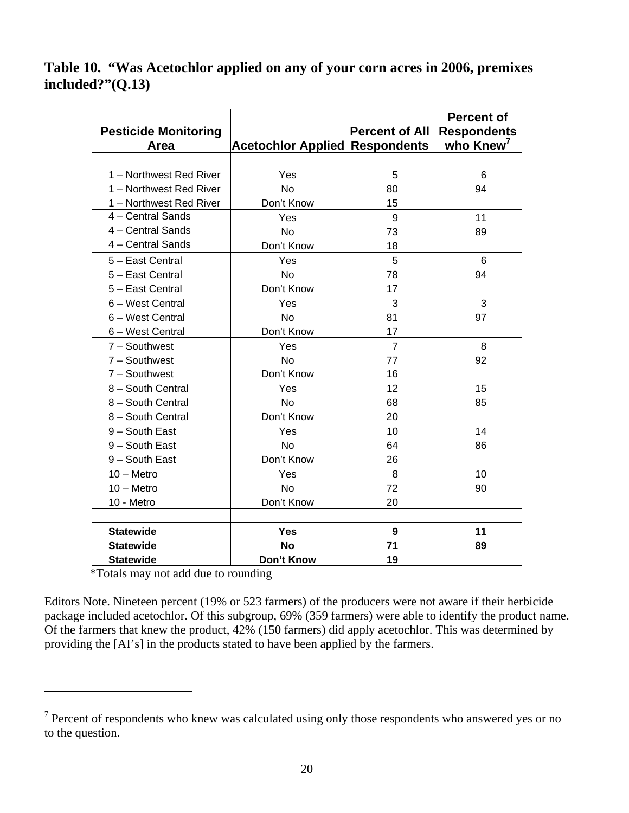## **Table 10. "Was Acetochlor applied on any of your corn acres in 2006, premixes included?"(Q.13)**

|                             |                                       |                       | <b>Percent of</b>        |
|-----------------------------|---------------------------------------|-----------------------|--------------------------|
| <b>Pesticide Monitoring</b> |                                       | <b>Percent of All</b> | <b>Respondents</b>       |
| Area                        | <b>Acetochlor Applied Respondents</b> |                       | who $K$ new <sup>7</sup> |
|                             |                                       |                       |                          |
| 1 - Northwest Red River     | Yes                                   | 5                     | 6                        |
| 1 - Northwest Red River     | <b>No</b>                             | 80                    | 94                       |
| 1 - Northwest Red River     | Don't Know                            | 15                    |                          |
| 4 - Central Sands           | Yes                                   | 9                     | 11                       |
| 4 - Central Sands           | <b>No</b>                             | 73                    | 89                       |
| 4 - Central Sands           | Don't Know                            | 18                    |                          |
| 5 - East Central            | Yes                                   | 5                     | 6                        |
| 5 - East Central            | <b>No</b>                             | 78                    | 94                       |
| 5 - East Central            | Don't Know                            | 17                    |                          |
| 6 - West Central            | Yes                                   | 3                     | 3                        |
| 6 - West Central            | <b>No</b>                             | 81                    | 97                       |
| 6 - West Central            | Don't Know                            | 17                    |                          |
| $7 -$ Southwest             | Yes                                   | $\overline{7}$        | 8                        |
| $7 -$ Southwest             | <b>No</b>                             | 77                    | 92                       |
| 7 - Southwest               | Don't Know                            | 16                    |                          |
| 8 - South Central           | Yes                                   | 12                    | 15                       |
| 8 - South Central           | <b>No</b>                             | 68                    | 85                       |
| 8 - South Central           | Don't Know                            | 20                    |                          |
| 9 - South East              | Yes                                   | 10                    | 14                       |
| 9 - South East              | <b>No</b>                             | 64                    | 86                       |
| 9 - South East              | Don't Know                            | 26                    |                          |
| $10 -$ Metro                | Yes                                   | 8                     | 10                       |
| $10 -$ Metro                | <b>No</b>                             | 72                    | 90                       |
| 10 - Metro                  | Don't Know                            | 20                    |                          |
|                             |                                       |                       |                          |
| <b>Statewide</b>            | Yes                                   | 9                     | 11                       |
| <b>Statewide</b>            | <b>No</b>                             | 71                    | 89                       |
| <b>Statewide</b>            | Don't Know                            | 19                    |                          |

\*Totals may not add due to rounding

 $\overline{a}$ 

Editors Note. Nineteen percent (19% or 523 farmers) of the producers were not aware if their herbicide package included acetochlor. Of this subgroup, 69% (359 farmers) were able to identify the product name. Of the farmers that knew the product, 42% (150 farmers) did apply acetochlor. This was determined by providing the [AI's] in the products stated to have been applied by the farmers.

 $7$  Percent of respondents who knew was calculated using only those respondents who answered yes or no to the question.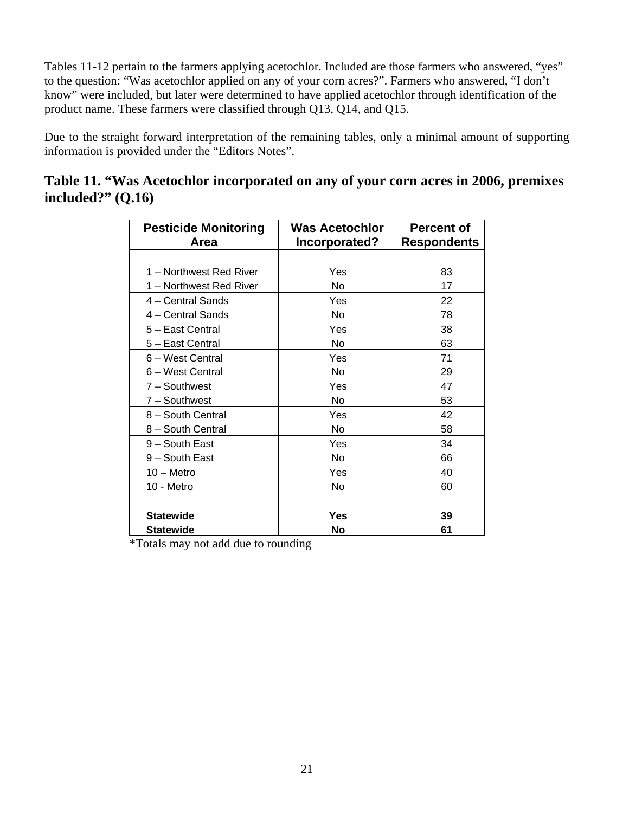Tables 11-12 pertain to the farmers applying acetochlor. Included are those farmers who answered, "yes" to the question: "Was acetochlor applied on any of your corn acres?". Farmers who answered, "I don't know" were included, but later were determined to have applied acetochlor through identification of the product name. These farmers were classified through Q13, Q14, and Q15.

Due to the straight forward interpretation of the remaining tables, only a minimal amount of supporting information is provided under the "Editors Notes".

|                     | Table 11. "Was Acetochlor incorporated on any of your corn acres in 2006, premixes |  |  |
|---------------------|------------------------------------------------------------------------------------|--|--|
| included?" $(Q.16)$ |                                                                                    |  |  |

| <b>Pesticide Monitoring</b><br>Area | Was Acetochlor<br>Incorporated? | <b>Percent of</b><br><b>Respondents</b> |
|-------------------------------------|---------------------------------|-----------------------------------------|
|                                     |                                 |                                         |
| 1 – Northwest Red River             | Yes                             | 83                                      |
| 1 – Northwest Red River             | No                              | 17                                      |
| 4 – Central Sands                   | Yes                             | 22                                      |
| 4 - Central Sands                   | No                              | 78                                      |
| 5 - East Central                    | Yes                             | 38                                      |
| 5 - East Central                    | No                              | 63                                      |
| 6 - West Central                    | Yes                             | 71                                      |
| 6 - West Central                    | No                              | 29                                      |
| 7 - Southwest                       | Yes                             | 47                                      |
| 7 - Southwest                       | No                              | 53                                      |
| 8 - South Central                   | Yes                             | 42                                      |
| 8 - South Central                   | No                              | 58                                      |
| 9 - South East                      | Yes                             | 34                                      |
| 9 – South East                      | No                              | 66                                      |
| $10 -$ Metro                        | Yes                             | 40                                      |
| 10 - Metro                          | No                              | 60                                      |
|                                     |                                 |                                         |
| <b>Statewide</b>                    | <b>Yes</b>                      | 39                                      |
| <b>Statewide</b>                    | No                              | 61                                      |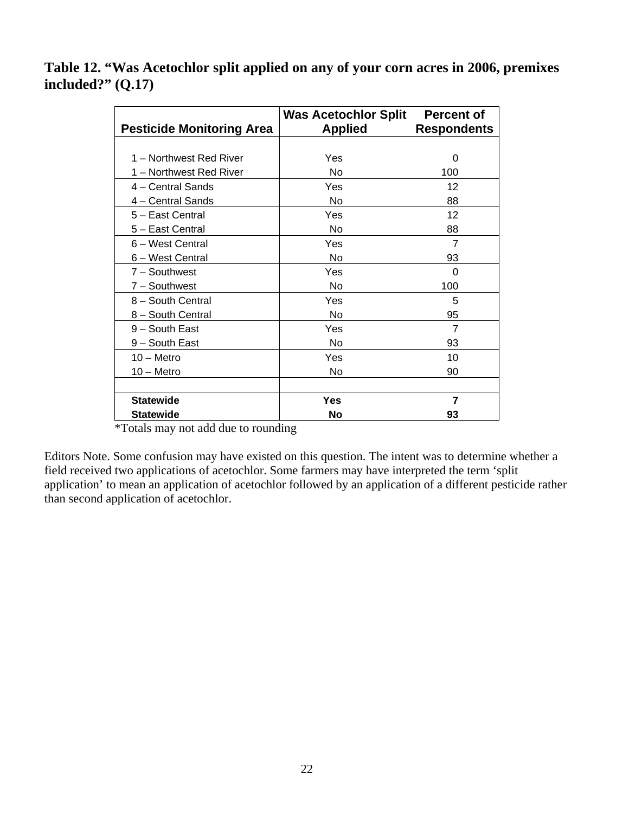**Table 12. "Was Acetochlor split applied on any of your corn acres in 2006, premixes included?" (Q.17)** 

|                                  | <b>Was Acetochlor Split</b> | <b>Percent of</b>  |
|----------------------------------|-----------------------------|--------------------|
| <b>Pesticide Monitoring Area</b> | <b>Applied</b>              | <b>Respondents</b> |
|                                  |                             |                    |
| 1 - Northwest Red River          | Yes                         | 0                  |
| 1 - Northwest Red River          | No                          | 100                |
| 4 - Central Sands                | Yes                         | 12                 |
| 4 - Central Sands                | No                          | 88                 |
| 5 - East Central                 | Yes                         | 12                 |
| 5 - East Central                 | No                          | 88                 |
| 6 - West Central                 | Yes                         | $\overline{7}$     |
| 6 - West Central                 | N <sub>o</sub>              | 93                 |
| 7 - Southwest                    | Yes                         | 0                  |
| 7 - Southwest                    | No                          | 100                |
| 8 - South Central                | Yes                         | 5                  |
| 8 - South Central                | No                          | 95                 |
| 9 - South East                   | Yes                         | $\overline{7}$     |
| 9 – South East                   | No.                         | 93                 |
| $10 -$ Metro                     | Yes                         | 10                 |
| $10 -$ Metro                     | No                          | 90                 |
|                                  |                             |                    |
| <b>Statewide</b>                 | Yes                         | 7                  |
| <b>Statewide</b>                 | No                          | 93                 |

\*Totals may not add due to rounding

Editors Note. Some confusion may have existed on this question. The intent was to determine whether a field received two applications of acetochlor. Some farmers may have interpreted the term 'split application' to mean an application of acetochlor followed by an application of a different pesticide rather than second application of acetochlor.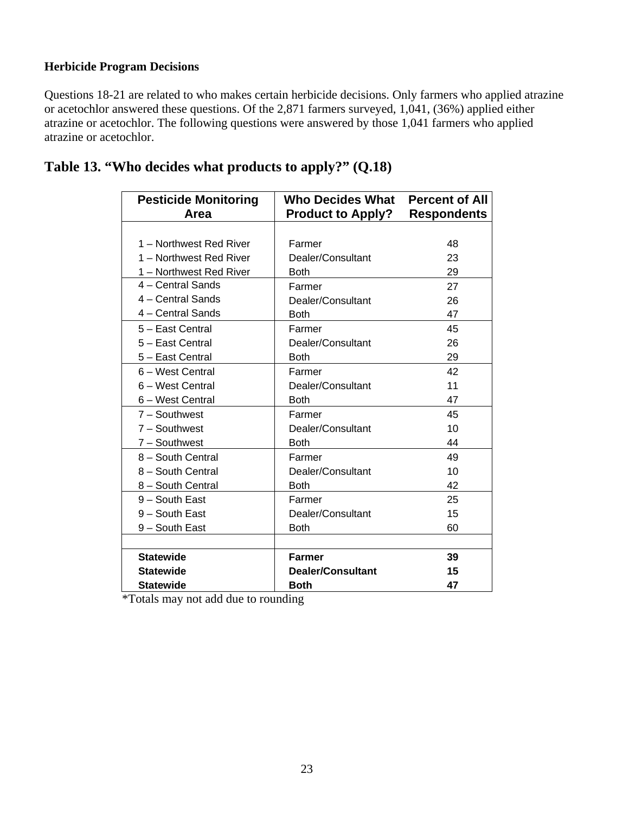### **Herbicide Program Decisions**

Questions 18-21 are related to who makes certain herbicide decisions. Only farmers who applied atrazine or acetochlor answered these questions. Of the 2,871 farmers surveyed, 1,041, (36%) applied either atrazine or acetochlor. The following questions were answered by those 1,041 farmers who applied atrazine or acetochlor.

| <b>Pesticide Monitoring</b><br>Area | Who Decides What<br><b>Product to Apply?</b> | <b>Percent of All</b><br><b>Respondents</b> |
|-------------------------------------|----------------------------------------------|---------------------------------------------|
|                                     |                                              |                                             |
| 1 - Northwest Red River             | Farmer                                       | 48                                          |
| 1 - Northwest Red River             | Dealer/Consultant                            | 23                                          |
| 1 - Northwest Red River             | <b>Both</b>                                  | 29                                          |
| 4 - Central Sands                   | Farmer                                       | 27                                          |
| 4 - Central Sands                   | Dealer/Consultant                            | 26                                          |
| 4 – Central Sands                   | <b>Both</b>                                  | 47                                          |
| 5 - East Central                    | Farmer                                       | 45                                          |
| 5 - East Central                    | Dealer/Consultant                            | 26                                          |
| 5 - East Central                    | <b>Both</b>                                  | 29                                          |
| 6 - West Central                    | Farmer                                       | 42                                          |
| 6 - West Central                    | Dealer/Consultant                            | 11                                          |
| 6 - West Central                    | <b>Both</b>                                  | 47                                          |
| $7 -$ Southwest                     | Farmer                                       | 45                                          |
| $7 -$ Southwest                     | Dealer/Consultant                            | 10                                          |
| 7 - Southwest                       | <b>Both</b>                                  | 44                                          |
| 8 - South Central                   | Farmer                                       | 49                                          |
| 8 - South Central                   | Dealer/Consultant                            | 10                                          |
| 8 - South Central                   | <b>Both</b>                                  | 42                                          |
| 9 - South East                      | Farmer                                       | 25                                          |
| 9 - South East                      | Dealer/Consultant                            | 15                                          |
| 9 - South East                      | <b>Both</b>                                  | 60                                          |
|                                     |                                              |                                             |
| <b>Statewide</b>                    | <b>Farmer</b>                                | 39                                          |
| <b>Statewide</b>                    | Dealer/Consultant                            | 15                                          |
| <b>Statewide</b>                    | <b>Both</b>                                  | 47                                          |

| Table 13. "Who decides what products to apply?" (Q.18) |  |  |
|--------------------------------------------------------|--|--|
|--------------------------------------------------------|--|--|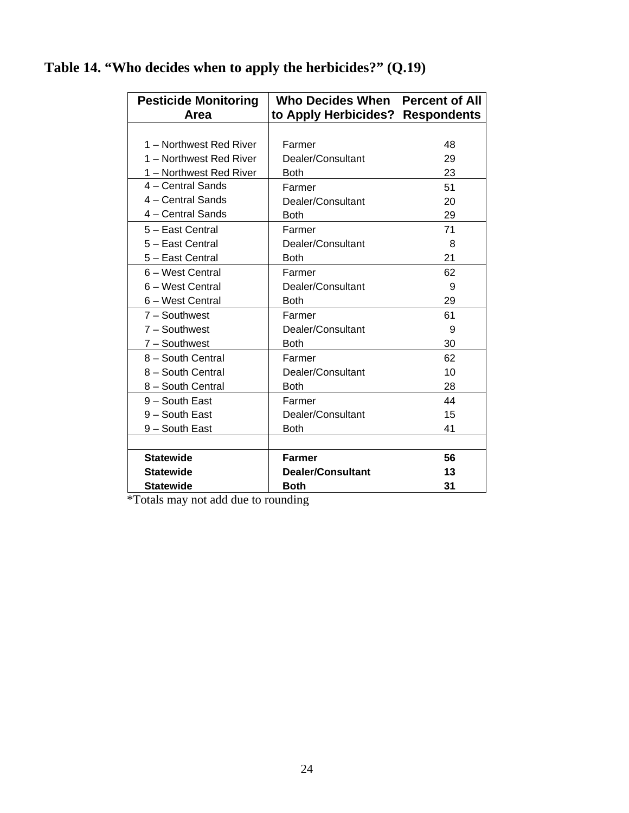| <b>Pesticide Monitoring</b><br>Area | Who Decides When Percent of All<br>to Apply Herbicides? Respondents |    |
|-------------------------------------|---------------------------------------------------------------------|----|
|                                     |                                                                     |    |
| 1 - Northwest Red River             | Farmer                                                              | 48 |
| 1 - Northwest Red River             | Dealer/Consultant                                                   | 29 |
| 1 - Northwest Red River             | <b>Both</b>                                                         | 23 |
| 4 - Central Sands                   | Farmer                                                              | 51 |
| 4 - Central Sands                   | Dealer/Consultant                                                   | 20 |
| 4 - Central Sands                   | <b>Both</b>                                                         | 29 |
| 5 - East Central                    | Farmer                                                              | 71 |
| 5 - East Central                    | Dealer/Consultant                                                   | 8  |
| 5 - East Central                    | <b>Both</b>                                                         | 21 |
| 6 - West Central                    | Farmer                                                              | 62 |
| 6 - West Central                    | Dealer/Consultant                                                   | 9  |
| 6 – West Central                    | <b>Both</b>                                                         | 29 |
| $7 -$ Southwest                     | Farmer                                                              | 61 |
| 7 - Southwest                       | Dealer/Consultant                                                   | 9  |
| 7 - Southwest                       | <b>Both</b>                                                         | 30 |
| 8 - South Central                   | Farmer                                                              | 62 |
| 8 - South Central                   | Dealer/Consultant                                                   | 10 |
| 8 - South Central                   | <b>Both</b>                                                         | 28 |
| 9 - South East                      | Farmer                                                              | 44 |
| 9 - South East                      | Dealer/Consultant                                                   | 15 |
| 9 - South East                      | <b>Both</b>                                                         | 41 |
|                                     |                                                                     |    |
| <b>Statewide</b>                    | <b>Farmer</b>                                                       | 56 |
| <b>Statewide</b>                    | Dealer/Consultant                                                   | 13 |
| <b>Statewide</b>                    | <b>Both</b>                                                         | 31 |

## **Table 14. "Who decides when to apply the herbicides?" (Q.19)**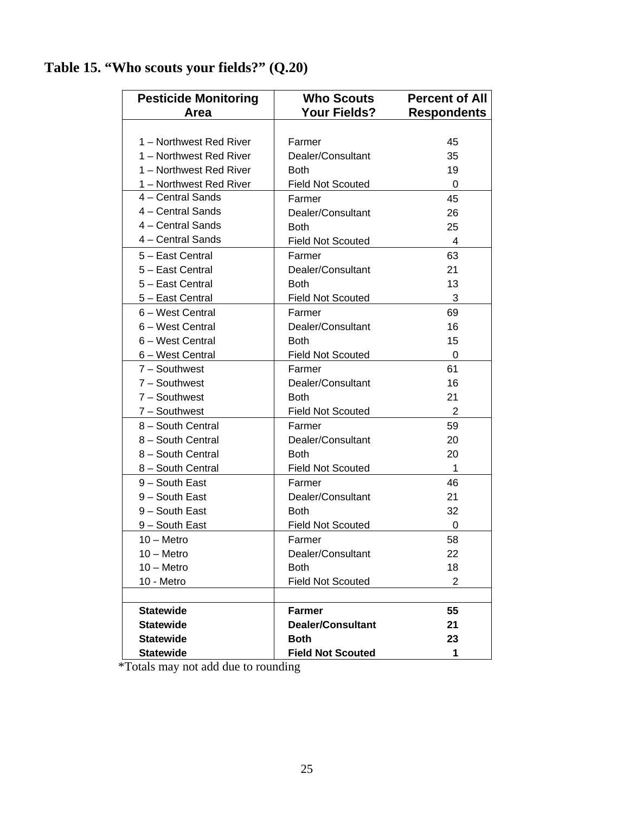| <b>Pesticide Monitoring</b><br>Area | <b>Who Scouts</b><br><b>Your Fields?</b> | <b>Percent of All</b><br><b>Respondents</b> |
|-------------------------------------|------------------------------------------|---------------------------------------------|
|                                     |                                          |                                             |
| 1 - Northwest Red River             | Farmer                                   | 45                                          |
| 1 - Northwest Red River             | Dealer/Consultant                        | 35                                          |
| 1 - Northwest Red River             | Both                                     | 19                                          |
| 1 - Northwest Red River             | <b>Field Not Scouted</b>                 | $\Omega$                                    |
| 4 - Central Sands                   | Farmer                                   | 45                                          |
| 4 - Central Sands                   | Dealer/Consultant                        | 26                                          |
| 4 - Central Sands                   | Both                                     | 25                                          |
| 4 - Central Sands                   | <b>Field Not Scouted</b>                 | 4                                           |
| 5 - East Central                    | Farmer                                   | 63                                          |
| 5 - East Central                    | Dealer/Consultant                        | 21                                          |
| 5 - East Central                    | <b>Both</b>                              | 13                                          |
| 5 - East Central                    | <b>Field Not Scouted</b>                 | 3                                           |
| 6 - West Central                    | Farmer                                   | 69                                          |
| 6 - West Central                    | Dealer/Consultant                        | 16                                          |
| 6 - West Central                    | <b>Both</b>                              | 15                                          |
| 6 - West Central                    | <b>Field Not Scouted</b>                 | 0                                           |
| $7 -$ Southwest                     | Farmer                                   | 61                                          |
| 7 - Southwest                       | Dealer/Consultant                        | 16                                          |
| $7 -$ Southwest                     | Both                                     | 21                                          |
| $7 -$ Southwest                     | <b>Field Not Scouted</b>                 | 2                                           |
| 8 - South Central                   | Farmer                                   | 59                                          |
| 8 - South Central                   | Dealer/Consultant                        | 20                                          |
| 8 - South Central                   | <b>Both</b>                              | 20                                          |
| 8 - South Central                   | <b>Field Not Scouted</b>                 | $\mathbf 1$                                 |
| 9 - South East                      | Farmer                                   | 46                                          |
| 9 - South East                      | Dealer/Consultant                        | 21                                          |
| 9 - South East                      | <b>Both</b>                              | 32                                          |
| 9 – South East                      | <b>Field Not Scouted</b>                 | 0                                           |
| $10 -$ Metro                        | Farmer                                   | 58                                          |
| $10 -$ Metro                        | Dealer/Consultant                        | 22                                          |
| $10 -$ Metro                        | <b>Both</b>                              | 18                                          |
| 10 - Metro                          | <b>Field Not Scouted</b>                 | $\overline{2}$                              |
|                                     |                                          |                                             |
| <b>Statewide</b>                    | <b>Farmer</b>                            | 55                                          |
| <b>Statewide</b>                    | <b>Dealer/Consultant</b>                 | 21                                          |
| <b>Statewide</b>                    | <b>Both</b>                              | 23                                          |
| <b>Statewide</b>                    | <b>Field Not Scouted</b>                 | 1                                           |

## **Table 15. "Who scouts your fields?" (Q.20)**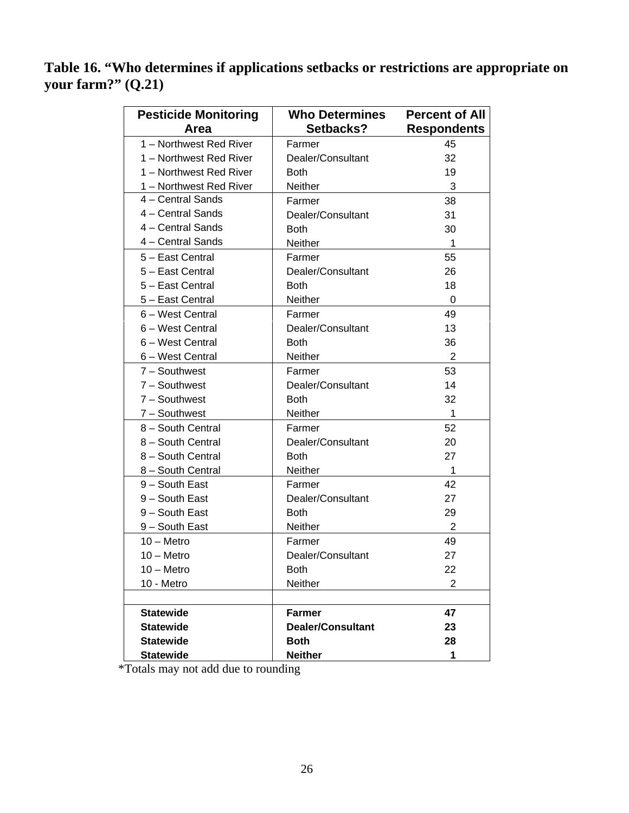**Table 16. "Who determines if applications setbacks or restrictions are appropriate on your farm?" (Q.21)** 

| <b>Pesticide Monitoring</b> | <b>Who Determines</b>    | <b>Percent of All</b> |
|-----------------------------|--------------------------|-----------------------|
| Area                        | Setbacks?                | <b>Respondents</b>    |
| 1 - Northwest Red River     | Farmer                   | 45                    |
| 1 - Northwest Red River     | Dealer/Consultant        | 32                    |
| 1 - Northwest Red River     | <b>Both</b>              | 19                    |
| 1 - Northwest Red River     | Neither                  | 3                     |
| 4 - Central Sands           | Farmer                   | 38                    |
| 4 - Central Sands           | Dealer/Consultant        | 31                    |
| 4 - Central Sands           | <b>Both</b>              | 30                    |
| 4 - Central Sands           | Neither                  | 1                     |
| 5 - East Central            | Farmer                   | 55                    |
| 5 - East Central            | Dealer/Consultant        | 26                    |
| 5 - East Central            | Both                     | 18                    |
| 5 - East Central            | Neither                  | $\Omega$              |
| 6 - West Central            | Farmer                   | 49                    |
| 6 - West Central            | Dealer/Consultant        | 13                    |
| 6 - West Central            | <b>Both</b>              | 36                    |
| 6 – West Central            | <b>Neither</b>           | $\overline{2}$        |
| 7 - Southwest               | Farmer                   | 53                    |
| 7 - Southwest               | Dealer/Consultant        | 14                    |
| 7 - Southwest               | <b>Both</b>              | 32                    |
| 7 - Southwest               | Neither                  | 1                     |
| 8 - South Central           | Farmer                   | 52                    |
| 8 - South Central           | Dealer/Consultant        | 20                    |
| 8 - South Central           | <b>Both</b>              | 27                    |
| 8 - South Central           | Neither                  | 1                     |
| 9 - South East              | Farmer                   | 42                    |
| 9 - South East              | Dealer/Consultant        | 27                    |
| 9 - South East              | <b>Both</b>              | 29                    |
| 9 - South East              | Neither                  | 2                     |
| $10 -$ Metro                | Farmer                   | 49                    |
| $10 -$ Metro                | Dealer/Consultant        | 27                    |
| $10 -$ Metro                | <b>Both</b>              | 22                    |
| 10 - Metro                  | Neither                  | 2                     |
|                             |                          |                       |
| <b>Statewide</b>            | <b>Farmer</b>            | 47                    |
| <b>Statewide</b>            | <b>Dealer/Consultant</b> | 23                    |
| <b>Statewide</b>            | <b>Both</b>              | 28                    |
| <b>Statewide</b>            | <b>Neither</b>           | 1                     |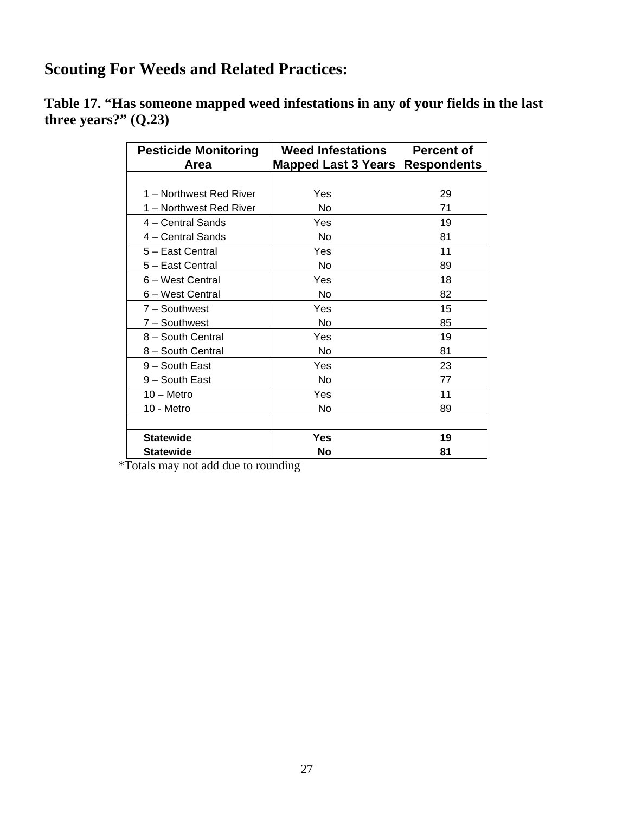## **Scouting For Weeds and Related Practices:**

**Table 17. "Has someone mapped weed infestations in any of your fields in the last three years?" (Q.23)** 

| <b>Pesticide Monitoring</b> | <b>Weed Infestations</b>        | <b>Percent of</b> |
|-----------------------------|---------------------------------|-------------------|
| Area                        | Mapped Last 3 Years Respondents |                   |
|                             |                                 |                   |
| 1 – Northwest Red River     | Yes                             | 29                |
| 1 - Northwest Red River     | No                              | 71                |
| 4 - Central Sands           | Yes                             | 19                |
| 4 - Central Sands           | No                              | 81                |
| 5 - East Central            | Yes                             | 11                |
| 5 - East Central            | No                              | 89                |
| 6 - West Central            | Yes                             | 18                |
| 6 – West Central            | No                              | 82                |
| $7 -$ Southwest             | Yes                             | 15                |
| 7 - Southwest               | No                              | 85                |
| 8 - South Central           | Yes                             | 19                |
| 8 - South Central           | No                              | 81                |
| 9 - South East              | Yes                             | 23                |
| 9 – South East              | No                              | 77                |
| $10 -$ Metro                | Yes                             | 11                |
| 10 - Metro                  | No                              | 89                |
|                             |                                 |                   |
| <b>Statewide</b>            | Yes                             | 19                |
| <b>Statewide</b>            | <b>No</b>                       | 81                |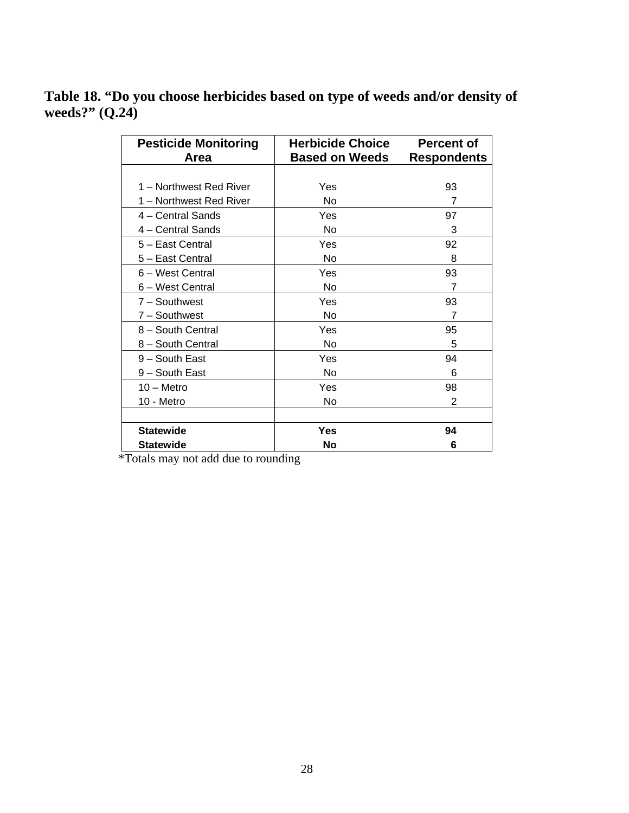## **Table 18. "Do you choose herbicides based on type of weeds and/or density of weeds?" (Q.24)**

| <b>Pesticide Monitoring</b> | <b>Herbicide Choice</b> | <b>Percent of</b>  |
|-----------------------------|-------------------------|--------------------|
| Area                        | <b>Based on Weeds</b>   | <b>Respondents</b> |
|                             |                         |                    |
| 1 - Northwest Red River     | Yes                     | 93                 |
| 1 - Northwest Red River     | No                      | $\overline{7}$     |
| 4 – Central Sands           | Yes                     | 97                 |
| 4 – Central Sands           | No                      | 3                  |
| 5 - East Central            | Yes                     | 92                 |
| 5 - East Central            | No                      | 8                  |
| 6 - West Central            | Yes                     | 93                 |
| 6 – West Central            | No                      | 7                  |
| $7 -$ Southwest             | Yes                     | 93                 |
| 7 - Southwest               | No                      | 7                  |
| 8 - South Central           | Yes                     | 95                 |
| 8 - South Central           | No                      | 5                  |
| 9 - South East              | Yes                     | 94                 |
| 9 – South East              | No                      | 6                  |
| $10 -$ Metro                | Yes                     | 98                 |
| 10 - Metro                  | No                      | $\overline{2}$     |
|                             |                         |                    |
| <b>Statewide</b>            | Yes                     | 94                 |
| <b>Statewide</b>            | <b>No</b>               | 6                  |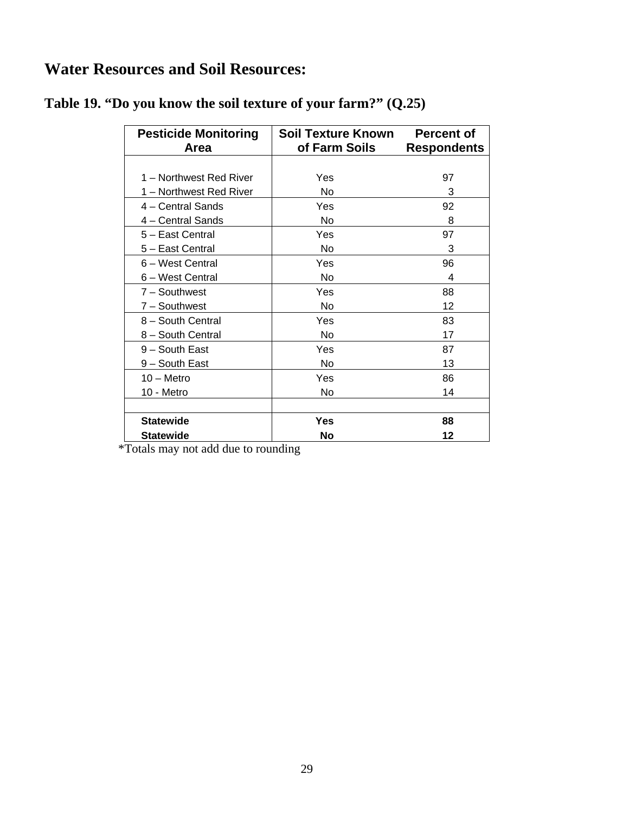## **Water Resources and Soil Resources:**

| <b>Pesticide Monitoring</b><br>Area | <b>Soil Texture Known</b><br>of Farm Soils | <b>Percent of</b><br><b>Respondents</b> |
|-------------------------------------|--------------------------------------------|-----------------------------------------|
|                                     |                                            |                                         |
| 1 - Northwest Red River             | Yes                                        | 97                                      |
| 1 – Northwest Red River             | No                                         | 3                                       |
| 4 – Central Sands                   | Yes                                        | 92                                      |
| 4 – Central Sands                   | No                                         | 8                                       |
| 5 - East Central                    | Yes                                        | 97                                      |
| 5 - East Central                    | <b>No</b>                                  | 3                                       |
| 6 - West Central                    | Yes                                        | 96                                      |
| 6 – West Central                    | No                                         | 4                                       |
| 7 - Southwest                       | Yes                                        | 88                                      |
| 7 - Southwest                       | No                                         | 12                                      |
| 8 - South Central                   | Yes                                        | 83                                      |
| 8 - South Central                   | No                                         | 17                                      |
| 9 - South East                      | Yes                                        | 87                                      |
| 9 - South East                      | No                                         | 13                                      |
| $10 -$ Metro                        | Yes                                        | 86                                      |
| 10 - Metro                          | No                                         | 14                                      |
|                                     |                                            |                                         |
| <b>Statewide</b>                    | Yes                                        | 88                                      |
| <b>Statewide</b>                    | No                                         | 12                                      |

**Table 19. "Do you know the soil texture of your farm?" (Q.25)**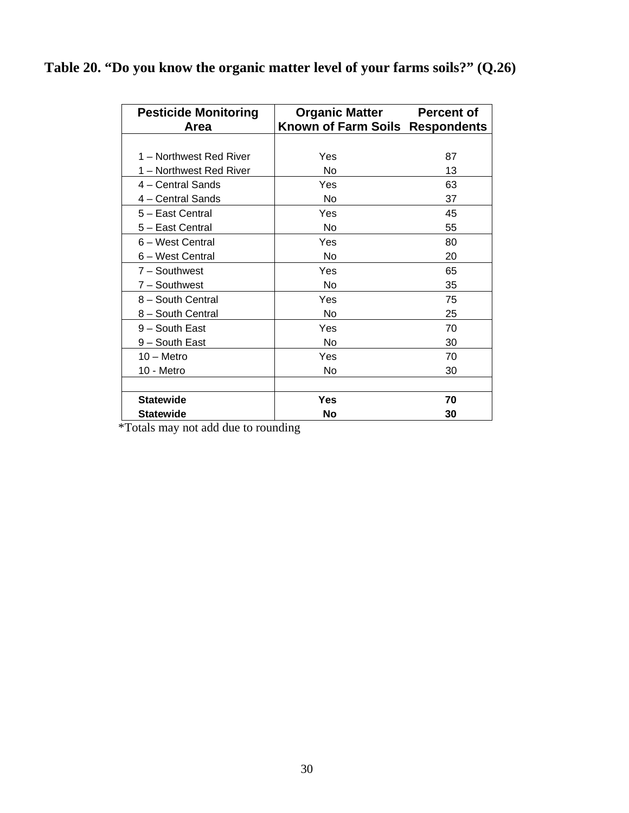**Table 20. "Do you know the organic matter level of your farms soils?" (Q.26)** 

| <b>Pesticide Monitoring</b> | <b>Organic Matter</b>           | <b>Percent of</b> |
|-----------------------------|---------------------------------|-------------------|
| Area                        | Known of Farm Soils Respondents |                   |
|                             |                                 |                   |
| 1 - Northwest Red River     | Yes                             | 87                |
| 1 – Northwest Red River     | No                              | 13                |
| 4 – Central Sands           | Yes                             | 63                |
| 4 - Central Sands           | No                              | 37                |
| 5 - East Central            | Yes                             | 45                |
| 5 - East Central            | No                              | 55                |
| 6 - West Central            | Yes                             | 80                |
| 6 - West Central            | No                              | 20                |
| 7 - Southwest               | Yes                             | 65                |
| 7 - Southwest               | No                              | 35                |
| 8 - South Central           | Yes                             | 75                |
| 8 - South Central           | No                              | 25                |
| 9 - South East              | Yes                             | 70                |
| 9 – South East              | No                              | 30                |
| $10 -$ Metro                | Yes                             | 70                |
| 10 - Metro                  | No                              | 30                |
|                             |                                 |                   |
| <b>Statewide</b>            | Yes                             | 70                |
| <b>Statewide</b>            | No                              | 30                |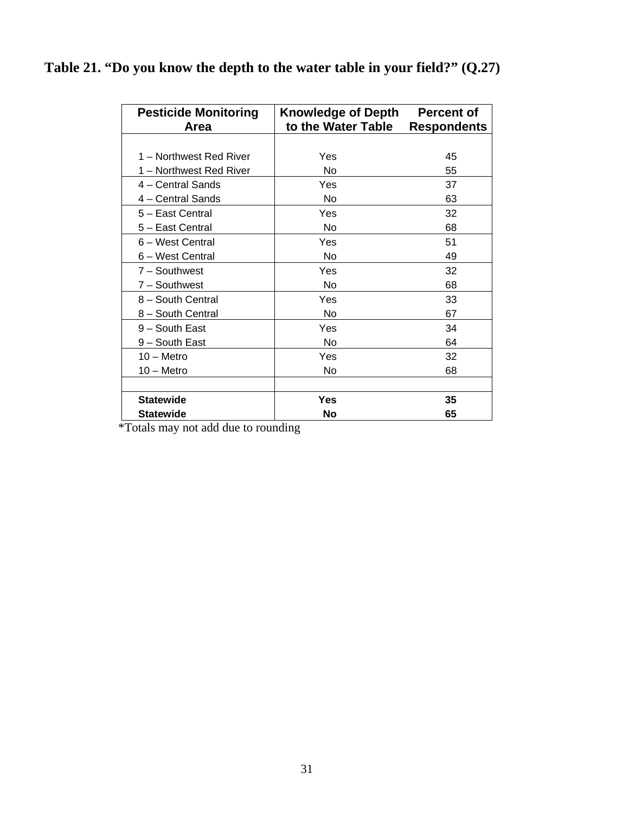|  |  |  |  |  |  |  | Table 21. "Do you know the depth to the water table in your field?" $(Q.27)$ |  |
|--|--|--|--|--|--|--|------------------------------------------------------------------------------|--|
|--|--|--|--|--|--|--|------------------------------------------------------------------------------|--|

| <b>Pesticide Monitoring</b><br>Area | <b>Knowledge of Depth</b><br>to the Water Table | <b>Percent of</b><br><b>Respondents</b> |
|-------------------------------------|-------------------------------------------------|-----------------------------------------|
|                                     |                                                 |                                         |
| 1 - Northwest Red River             | Yes                                             | 45                                      |
| 1 – Northwest Red River             | No                                              | 55                                      |
| 4 – Central Sands                   | Yes                                             | 37                                      |
| 4 - Central Sands                   | No                                              | 63                                      |
| 5 - East Central                    | Yes                                             | 32                                      |
| 5 - East Central                    | No                                              | 68                                      |
| 6 - West Central                    | Yes                                             | 51                                      |
| 6 – West Central                    | No                                              | 49                                      |
| 7 - Southwest                       | Yes                                             | 32                                      |
| 7 - Southwest                       | No                                              | 68                                      |
| 8 - South Central                   | Yes                                             | 33                                      |
| 8 - South Central                   | No                                              | 67                                      |
| $9 -$ South East                    | Yes                                             | 34                                      |
| 9 – South East                      | No                                              | 64                                      |
| $10 -$ Metro                        | Yes                                             | 32                                      |
| $10 -$ Metro                        | No                                              | 68                                      |
|                                     |                                                 |                                         |
| <b>Statewide</b>                    | Yes                                             | 35                                      |
| <b>Statewide</b>                    | No                                              | 65                                      |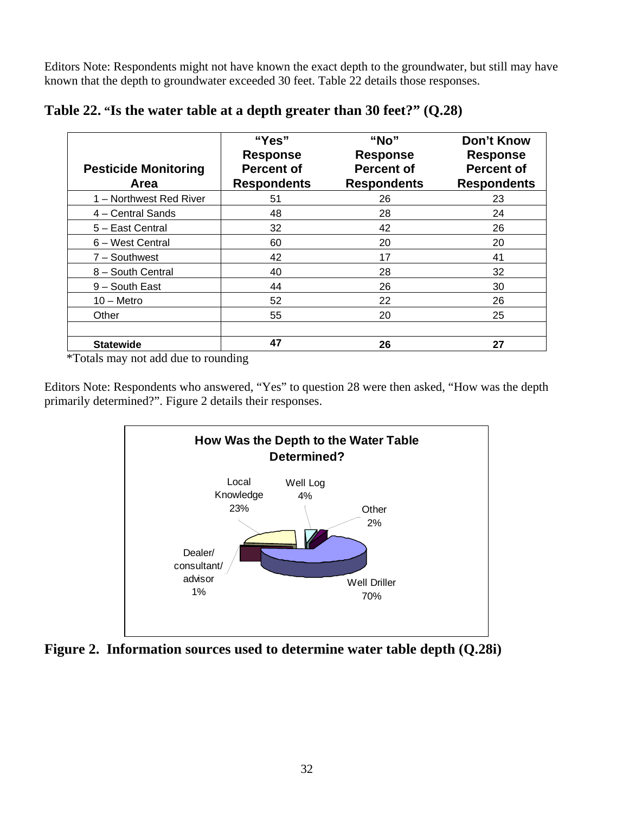Editors Note: Respondents might not have known the exact depth to the groundwater, but still may have known that the depth to groundwater exceeded 30 feet. Table 22 details those responses.

| <b>Pesticide Monitoring</b><br>Area | "Yes"<br><b>Response</b><br><b>Percent of</b><br><b>Respondents</b> | "No"<br><b>Response</b><br><b>Percent of</b><br><b>Respondents</b> | Don't Know<br><b>Response</b><br><b>Percent of</b><br><b>Respondents</b> |
|-------------------------------------|---------------------------------------------------------------------|--------------------------------------------------------------------|--------------------------------------------------------------------------|
| 1 - Northwest Red River             | 51                                                                  | 26                                                                 | 23                                                                       |
| 4 - Central Sands                   | 48                                                                  | 28                                                                 | 24                                                                       |
| 5 - East Central                    | 32                                                                  | 42                                                                 | 26                                                                       |
| 6 - West Central                    | 60                                                                  | 20                                                                 | 20                                                                       |
| $7 -$ Southwest                     | 42                                                                  | 17                                                                 | 41                                                                       |
| 8 - South Central                   | 40                                                                  | 28                                                                 | 32                                                                       |
| 9 - South East                      | 44                                                                  | 26                                                                 | 30                                                                       |
| $10 -$ Metro                        | 52                                                                  | 22                                                                 | 26                                                                       |
| Other                               | 55                                                                  | 20                                                                 | 25                                                                       |
| <b>Statewide</b><br>- - -           | 47                                                                  | 26                                                                 | 27                                                                       |

**Table 22. "Is the water table at a depth greater than 30 feet?" (Q.28)** 

\*Totals may not add due to rounding

Editors Note: Respondents who answered, "Yes" to question 28 were then asked, "How was the depth primarily determined?". Figure 2 details their responses.



**Figure 2. Information sources used to determine water table depth (Q.28i)**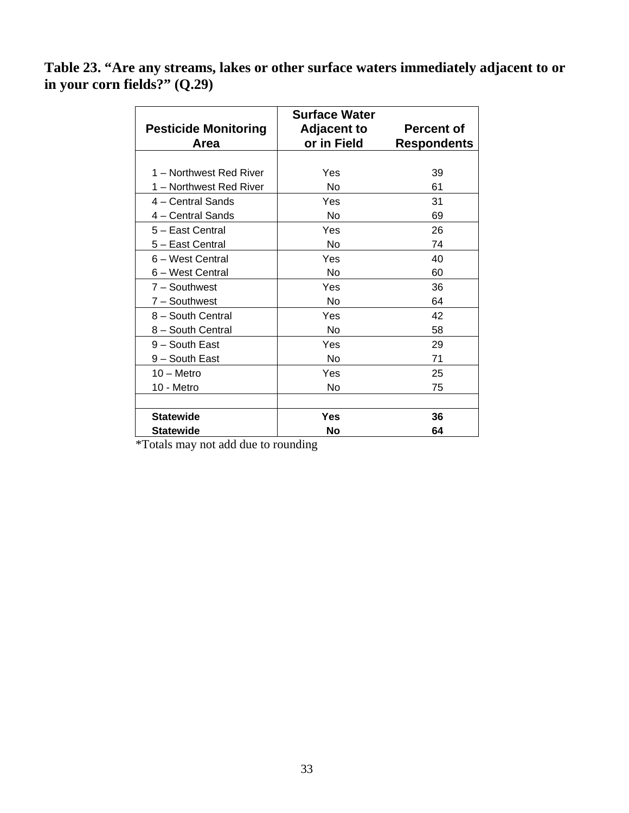**Table 23. "Are any streams, lakes or other surface waters immediately adjacent to or in your corn fields?" (Q.29)** 

| <b>Pesticide Monitoring</b> | <b>Surface Water</b><br><b>Adjacent to</b> | <b>Percent of</b>  |
|-----------------------------|--------------------------------------------|--------------------|
| Area                        | or in Field                                | <b>Respondents</b> |
|                             |                                            |                    |
| 1 - Northwest Red River     | Yes                                        | 39                 |
| 1 – Northwest Red River     | No                                         | 61                 |
| 4 – Central Sands           | Yes                                        | 31                 |
| 4 - Central Sands           | No                                         | 69                 |
| 5 - East Central            | Yes                                        | 26                 |
| 5 - East Central            | No                                         | 74                 |
| 6 - West Central            | Yes                                        | 40                 |
| 6 - West Central            | No                                         | 60                 |
| 7 - Southwest               | Yes                                        | 36                 |
| 7 - Southwest               | <b>No</b>                                  | 64                 |
| 8 - South Central           | Yes                                        | 42                 |
| 8 - South Central           | No                                         | 58                 |
| 9 - South East              | Yes                                        | 29                 |
| 9 - South East              | No                                         | 71                 |
| $10 -$ Metro                | Yes                                        | 25                 |
| 10 - Metro                  | No                                         | 75                 |
|                             |                                            |                    |
| <b>Statewide</b>            | Yes                                        | 36                 |
| <b>Statewide</b>            | No                                         | 64                 |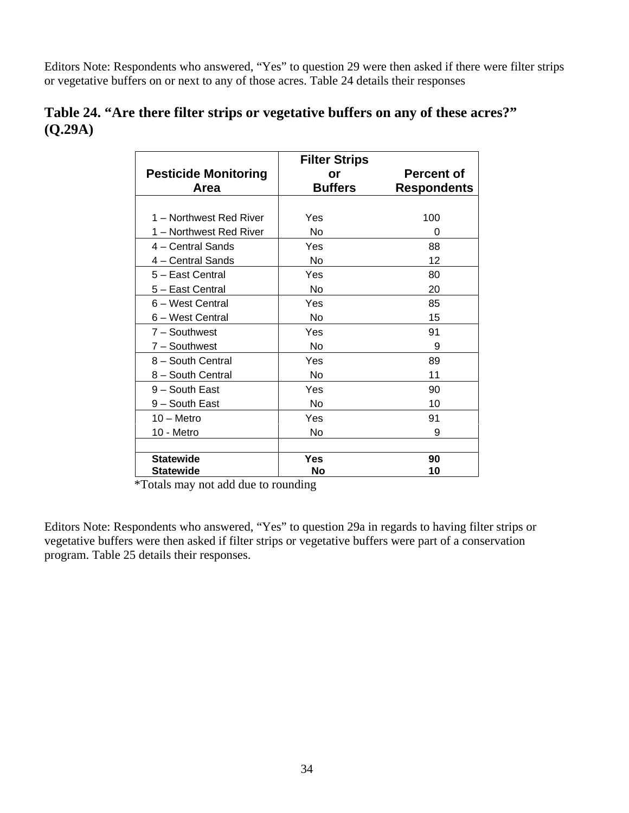Editors Note: Respondents who answered, "Yes" to question 29 were then asked if there were filter strips or vegetative buffers on or next to any of those acres. Table 24 details their responses

|         | Table 24. "Are there filter strips or vegetative buffers on any of these acres?" |  |  |
|---------|----------------------------------------------------------------------------------|--|--|
| (O.29A) |                                                                                  |  |  |

| <b>Pesticide Monitoring</b> | <b>Filter Strips</b><br>or | <b>Percent of</b>  |
|-----------------------------|----------------------------|--------------------|
| Area                        | <b>Buffers</b>             | <b>Respondents</b> |
|                             |                            |                    |
| 1 - Northwest Red River     | Yes                        | 100                |
| 1 – Northwest Red River     | No                         | 0                  |
| 4 – Central Sands           | Yes                        | 88                 |
| 4 – Central Sands           | No                         | 12                 |
| 5 - East Central            | Yes                        | 80                 |
| 5 - East Central            | No                         | 20                 |
| 6 - West Central            | Yes                        | 85                 |
| 6 - West Central            | No                         | 15                 |
| $7 -$ Southwest             | Yes                        | 91                 |
| 7 - Southwest               | No                         | 9                  |
| 8 - South Central           | Yes                        | 89                 |
| 8 - South Central           | No                         | 11                 |
| 9 - South East              | Yes                        | 90                 |
| 9 - South East              | No                         | 10                 |
| $10 -$ Metro                | Yes                        | 91                 |
| 10 - Metro                  | No                         | 9                  |
|                             |                            |                    |
| <b>Statewide</b>            | Yes                        | 90                 |
| <b>Statewide</b>            | No                         | 10                 |

\*Totals may not add due to rounding

Editors Note: Respondents who answered, "Yes" to question 29a in regards to having filter strips or vegetative buffers were then asked if filter strips or vegetative buffers were part of a conservation program. Table 25 details their responses.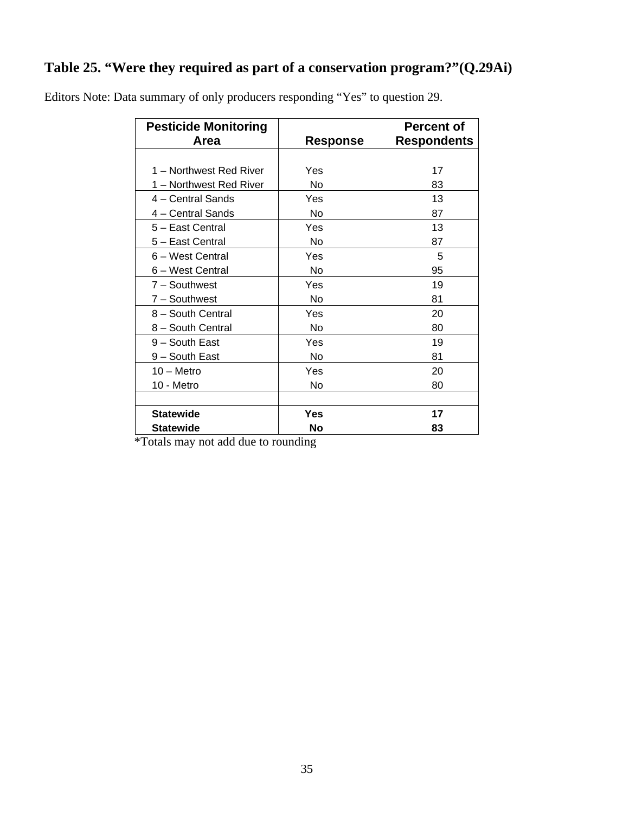## **Table 25. "Were they required as part of a conservation program?"(Q.29Ai)**

| <b>Pesticide Monitoring</b><br>Area | Response | <b>Percent of</b><br><b>Respondents</b> |
|-------------------------------------|----------|-----------------------------------------|
|                                     |          |                                         |
| 1 – Northwest Red River             | Yes      | 17                                      |
| 1 - Northwest Red River             | No       | 83                                      |
| 4 – Central Sands                   | Yes      | 13                                      |
| 4 – Central Sands                   | No       | 87                                      |
| 5 - East Central                    | Yes      | 13                                      |
| 5 - East Central                    | No       | 87                                      |
| 6 – West Central                    | Yes      | 5                                       |
| 6 - West Central                    | No       | 95                                      |
| $7 -$ Southwest                     | Yes      | 19                                      |
| 7 - Southwest                       | No       | 81                                      |
| 8 - South Central                   | Yes      | 20                                      |
| 8 - South Central                   | No       | 80                                      |
| 9 - South East                      | Yes      | 19                                      |
| 9 - South East                      | No       | 81                                      |
| $10 -$ Metro                        | Yes      | 20                                      |
| 10 - Metro                          | No       | 80                                      |
|                                     |          |                                         |
| <b>Statewide</b>                    | Yes      | 17                                      |
| <b>Statewide</b>                    | No       | 83                                      |

Editors Note: Data summary of only producers responding "Yes" to question 29.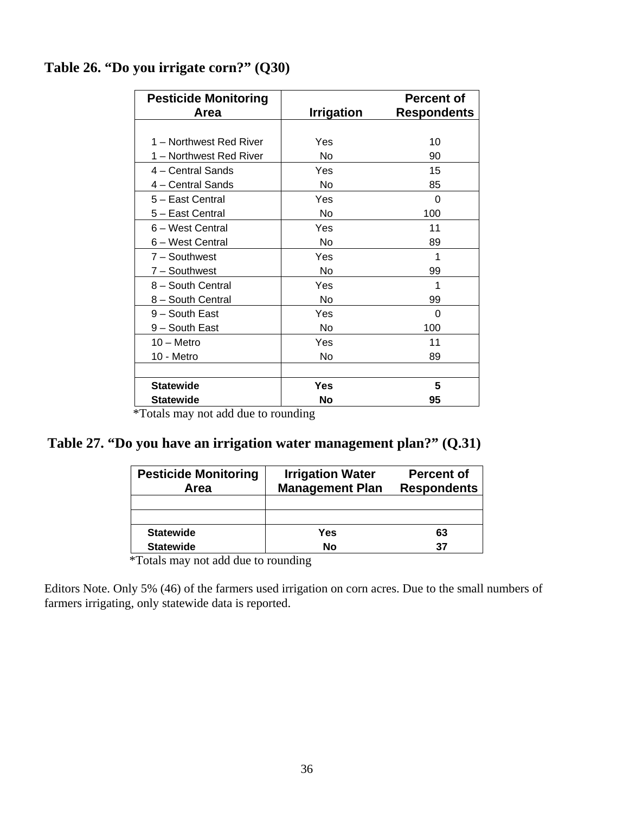## **Table 26. "Do you irrigate corn?" (Q30)**

| <b>Pesticide Monitoring</b><br>Area | <b>Irrigation</b>      | <b>Percent of</b><br><b>Respondents</b> |
|-------------------------------------|------------------------|-----------------------------------------|
|                                     |                        |                                         |
| 1 - Northwest Red River             | Yes                    | 10                                      |
| 1 - Northwest Red River             | No                     | 90                                      |
| 4 – Central Sands                   | Yes                    | 15                                      |
| 4 - Central Sands                   | No                     | 85                                      |
| 5 - East Central                    | Yes                    | $\Omega$                                |
| 5 - East Central                    | No                     | 100                                     |
| 6 - West Central                    | Yes                    | 11                                      |
| 6 - West Central                    | No                     | 89                                      |
| $7 -$ Southwest                     | Yes                    | 1                                       |
| 7 - Southwest                       | No                     | 99                                      |
| 8 - South Central                   | Yes                    | 1                                       |
| 8 - South Central                   | No                     | 99                                      |
| 9 - South East                      | Yes                    | 0                                       |
| 9 - South East                      | No                     | 100                                     |
| $10 -$ Metro                        | Yes                    | 11                                      |
| 10 - Metro                          | No                     | 89                                      |
|                                     |                        |                                         |
| <b>Statewide</b>                    | Yes                    | 5                                       |
| <b>Statewide</b>                    | <b>No</b><br>$\ddotsc$ | 95                                      |

\*Totals may not add due to rounding

## **Table 27. "Do you have an irrigation water management plan?" (Q.31)**

| <b>Pesticide Monitoring</b><br>Area | <b>Irrigation Water</b><br><b>Management Plan</b> | <b>Percent of</b><br><b>Respondents</b> |  |
|-------------------------------------|---------------------------------------------------|-----------------------------------------|--|
|                                     |                                                   |                                         |  |
|                                     |                                                   |                                         |  |
| <b>Statewide</b>                    | Yes                                               | 63                                      |  |
| <b>Statewide</b>                    | No                                                | 37                                      |  |

\*Totals may not add due to rounding

Editors Note. Only 5% (46) of the farmers used irrigation on corn acres. Due to the small numbers of farmers irrigating, only statewide data is reported.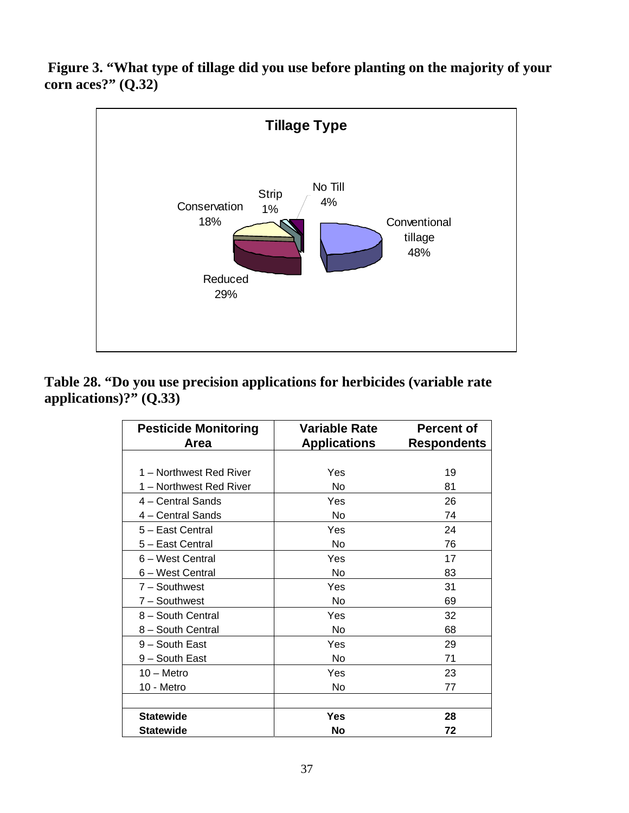**Figure 3. "What type of tillage did you use before planting on the majority of your corn aces?" (Q.32)** 



**Table 28. "Do you use precision applications for herbicides (variable rate applications)?" (Q.33)** 

| <b>Pesticide Monitoring</b> | <b>Variable Rate</b> | <b>Percent of</b>  |
|-----------------------------|----------------------|--------------------|
| Area                        | <b>Applications</b>  | <b>Respondents</b> |
|                             |                      |                    |
| 1 - Northwest Red River     | Yes                  | 19                 |
| 1 - Northwest Red River     | No                   | 81                 |
| 4 – Central Sands           | Yes                  | 26                 |
| 4 - Central Sands           | No                   | 74                 |
| 5 - East Central            | Yes                  | 24                 |
| 5 - East Central            | No                   | 76                 |
| 6 - West Central            | Yes                  | 17                 |
| 6 - West Central            | No                   | 83                 |
| 7 - Southwest               | Yes                  | 31                 |
| 7 - Southwest               | No                   | 69                 |
| 8 - South Central           | Yes                  | 32                 |
| 8 - South Central           | No                   | 68                 |
| 9 - South East              | Yes                  | 29                 |
| 9 - South East              | No                   | 71                 |
| $10 -$ Metro                | Yes                  | 23                 |
| 10 - Metro                  | No                   | 77                 |
|                             |                      |                    |
| <b>Statewide</b>            | Yes                  | 28                 |
| <b>Statewide</b>            | <b>No</b>            | 72                 |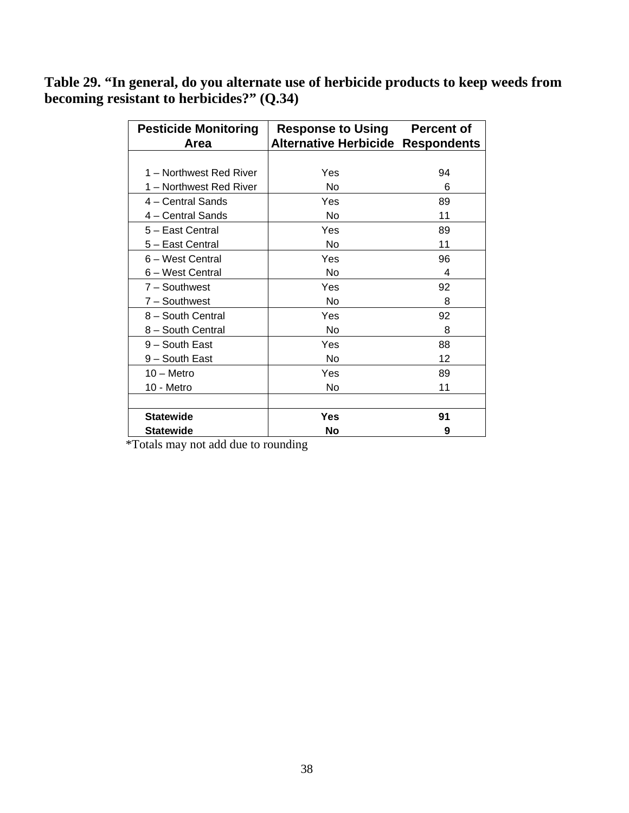**Table 29. "In general, do you alternate use of herbicide products to keep weeds from becoming resistant to herbicides?" (Q.34)** 

| <b>Pesticide Monitoring</b> | <b>Response to Using</b>                 | <b>Percent of</b> |
|-----------------------------|------------------------------------------|-------------------|
| Area                        | <b>Alternative Herbicide Respondents</b> |                   |
|                             |                                          |                   |
| 1 – Northwest Red River     | Yes                                      | 94                |
| 1 – Northwest Red River     | No                                       | 6                 |
| 4 - Central Sands           | Yes                                      | 89                |
| 4 - Central Sands           | No                                       | 11                |
| 5 - East Central            | Yes                                      | 89                |
| 5 - East Central            | No                                       | 11                |
| 6 – West Central            | Yes                                      | 96                |
| 6 – West Central            | No                                       | 4                 |
| $7 -$ Southwest             | Yes                                      | 92                |
| 7 - Southwest               | No                                       | 8                 |
| 8 - South Central           | Yes                                      | 92                |
| 8 - South Central           | No                                       | 8                 |
| 9 - South East              | Yes                                      | 88                |
| 9 – South East              | <b>No</b>                                | 12                |
| $10 -$ Metro                | Yes                                      | 89                |
| 10 - Metro                  | No                                       | 11                |
|                             |                                          |                   |
| <b>Statewide</b>            | Yes                                      | 91                |
| Statewide                   | No                                       | 9                 |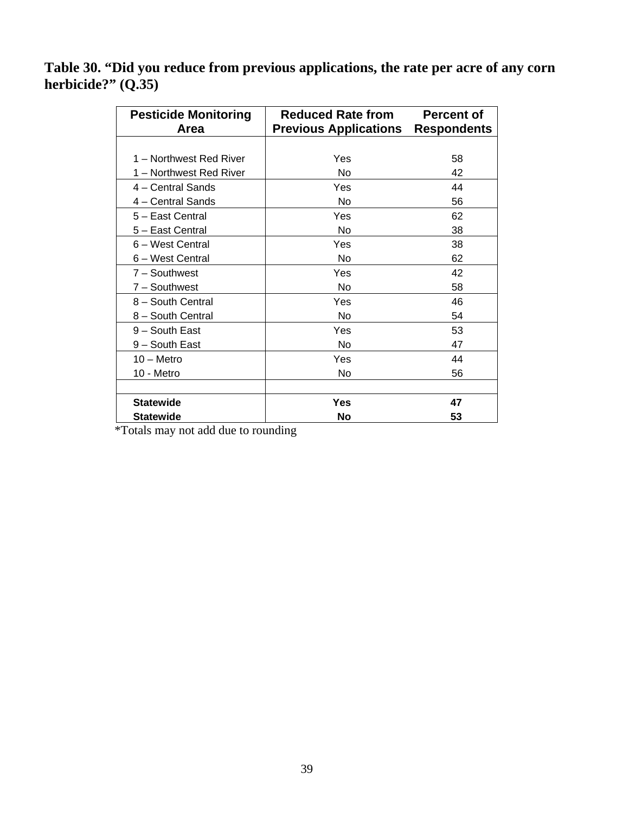**Table 30. "Did you reduce from previous applications, the rate per acre of any corn herbicide?" (Q.35)** 

| <b>Pesticide Monitoring</b> | <b>Reduced Rate from</b>     | <b>Percent of</b>  |
|-----------------------------|------------------------------|--------------------|
| Area                        | <b>Previous Applications</b> | <b>Respondents</b> |
|                             |                              |                    |
| 1 – Northwest Red River     | Yes                          | 58                 |
| 1 - Northwest Red River     | No                           | 42                 |
| 4 – Central Sands           | Yes                          | 44                 |
| 4 - Central Sands           | No                           | 56                 |
| 5 - East Central            | Yes                          | 62                 |
| 5 – East Central            | No                           | 38                 |
| 6 - West Central            | Yes                          | 38                 |
| 6 - West Central            | No                           | 62                 |
| $7 -$ Southwest             | Yes                          | 42                 |
| 7 - Southwest               | No                           | 58                 |
| 8 - South Central           | Yes                          | 46                 |
| 8 - South Central           | No                           | 54                 |
| 9 - South East              | Yes                          | 53                 |
| 9 – South East              | No                           | 47                 |
| $10 -$ Metro                | Yes                          | 44                 |
| 10 - Metro                  | No                           | 56                 |
|                             |                              |                    |
| <b>Statewide</b>            | <b>Yes</b>                   | 47                 |
| <b>Statewide</b>            | No                           | 53                 |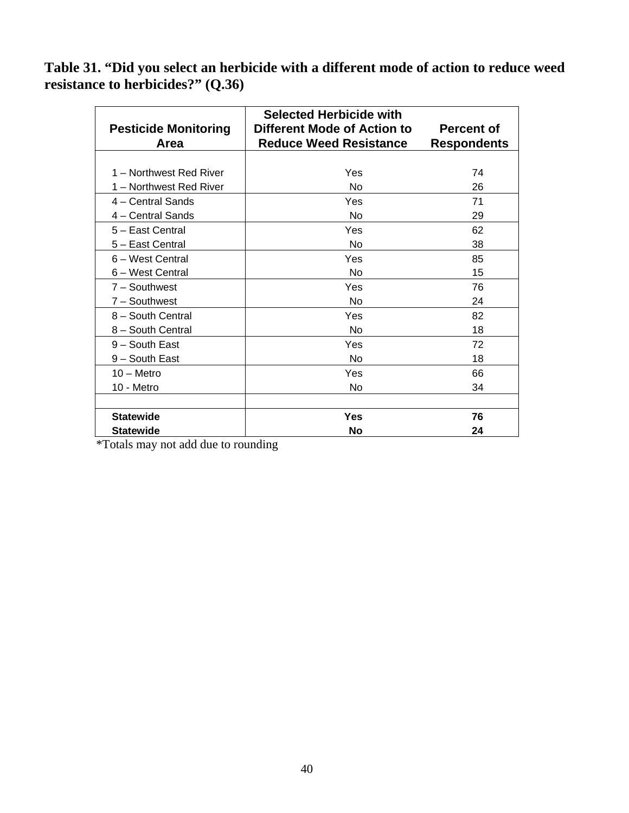**Table 31. "Did you select an herbicide with a different mode of action to reduce weed resistance to herbicides?" (Q.36)**

| <b>Pesticide Monitoring</b><br>Area | <b>Selected Herbicide with</b><br>Different Mode of Action to<br><b>Reduce Weed Resistance</b> | <b>Percent of</b><br><b>Respondents</b> |
|-------------------------------------|------------------------------------------------------------------------------------------------|-----------------------------------------|
|                                     |                                                                                                |                                         |
| 1 - Northwest Red River             | Yes                                                                                            | 74                                      |
| 1 - Northwest Red River             | <b>No</b>                                                                                      | 26                                      |
| $4 -$ Central Sands                 | Yes                                                                                            | 71                                      |
| 4 - Central Sands                   | No                                                                                             | 29                                      |
| 5 - East Central                    | Yes                                                                                            | 62                                      |
| 5 - East Central                    | No                                                                                             | 38                                      |
| 6 – West Central                    | Yes                                                                                            | 85                                      |
| 6 - West Central                    | <b>No</b>                                                                                      | 15                                      |
| $7 -$ Southwest                     | Yes                                                                                            | 76                                      |
| 7 - Southwest                       | No                                                                                             | 24                                      |
| 8 - South Central                   | Yes                                                                                            | 82                                      |
| 8 - South Central                   | No                                                                                             | 18                                      |
| 9 - South East                      | Yes                                                                                            | 72                                      |
| 9 - South East                      | No                                                                                             | 18                                      |
| $10 -$ Metro                        | Yes                                                                                            | 66                                      |
| 10 - Metro                          | N <sub>o</sub>                                                                                 | 34                                      |
|                                     |                                                                                                |                                         |
| <b>Statewide</b>                    | <b>Yes</b>                                                                                     | 76                                      |
| <b>Statewide</b>                    | No                                                                                             | 24                                      |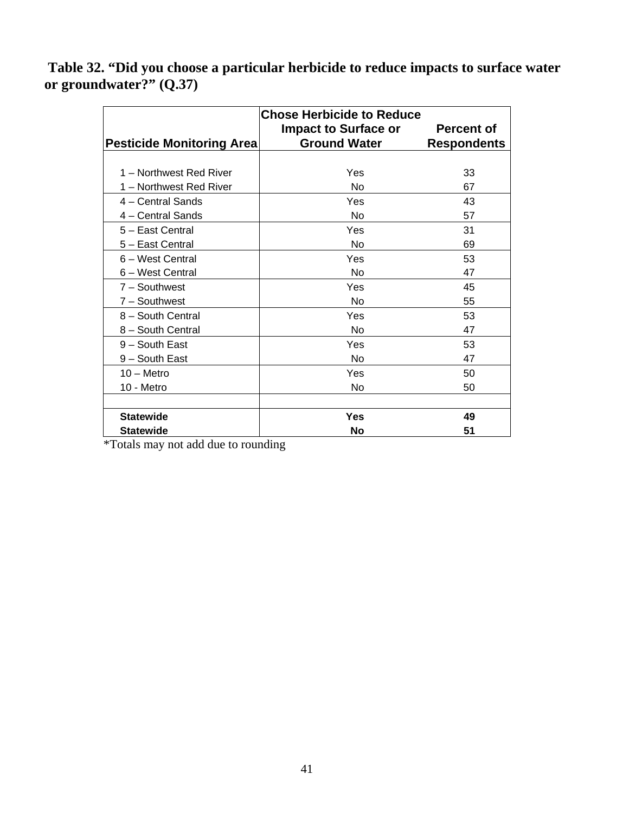**Table 32. "Did you choose a particular herbicide to reduce impacts to surface water or groundwater?" (Q.37)** 

| <b>Chose Herbicide to Reduce</b> |                             |                    |
|----------------------------------|-----------------------------|--------------------|
|                                  | <b>Impact to Surface or</b> | <b>Percent of</b>  |
| <b>Pesticide Monitoring Area</b> | <b>Ground Water</b>         | <b>Respondents</b> |
|                                  |                             |                    |
| 1 – Northwest Red River          | Yes                         | 33                 |
| 1 - Northwest Red River          | <b>No</b>                   | 67                 |
| 4 - Central Sands                | Yes                         | 43                 |
| 4 - Central Sands                | <b>No</b>                   | 57                 |
| 5 - East Central                 | Yes                         | 31                 |
| 5 - East Central                 | No                          | 69                 |
| 6 – West Central                 | Yes                         | 53                 |
| 6 - West Central                 | <b>No</b>                   | 47                 |
| $7 -$ Southwest                  | Yes                         | 45                 |
| 7 - Southwest                    | <b>No</b>                   | 55                 |
| 8 - South Central                | Yes                         | 53                 |
| 8 - South Central                | No                          | 47                 |
| 9 - South East                   | Yes                         | 53                 |
| 9 - South East                   | No                          | 47                 |
| $10 -$ Metro                     | Yes                         | 50                 |
| 10 - Metro                       | <b>No</b>                   | 50                 |
|                                  |                             |                    |
| <b>Statewide</b>                 | <b>Yes</b>                  | 49                 |
| <b>Statewide</b>                 | No                          | 51                 |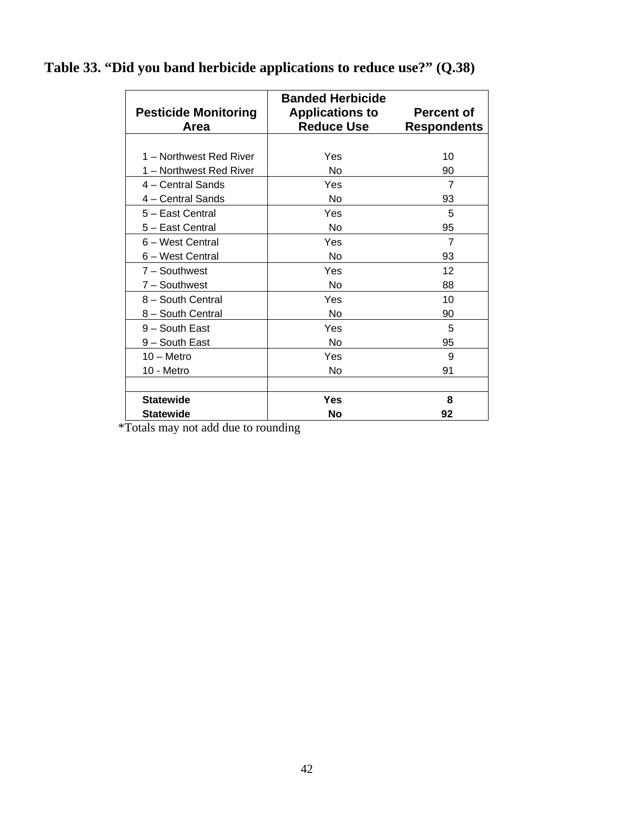| <b>Pesticide Monitoring</b><br>Area | <b>Banded Herbicide</b><br><b>Applications to</b><br><b>Reduce Use</b> | <b>Percent of</b><br><b>Respondents</b> |
|-------------------------------------|------------------------------------------------------------------------|-----------------------------------------|
|                                     |                                                                        |                                         |
| 1 – Northwest Red River             | Yes                                                                    | 10                                      |
| 1 - Northwest Red River             | No                                                                     | 90                                      |
| 4 – Central Sands                   | Yes                                                                    | 7                                       |
| 4 - Central Sands                   | No                                                                     | 93                                      |
| 5 - East Central                    | Yes                                                                    | 5                                       |
| 5 - East Central                    | No                                                                     | 95                                      |
| 6 - West Central                    | Yes                                                                    | $\overline{7}$                          |
| 6 - West Central                    | <b>No</b>                                                              | 93                                      |
| 7 - Southwest                       | Yes                                                                    | 12                                      |
| 7 - Southwest                       | <b>No</b>                                                              | 88                                      |
| 8 - South Central                   | Yes                                                                    | 10                                      |
| 8 - South Central                   | No                                                                     | 90                                      |
| 9 - South East                      | Yes                                                                    | 5                                       |
| 9 - South East                      | No                                                                     | 95                                      |
| $10 -$ Metro                        | Yes                                                                    | 9                                       |
| 10 - Metro                          | No                                                                     | 91                                      |
|                                     |                                                                        |                                         |
| <b>Statewide</b>                    | Yes                                                                    | 8                                       |
| <b>Statewide</b>                    | <b>No</b>                                                              | 92                                      |

## **Table 33. "Did you band herbicide applications to reduce use?" (Q.38)**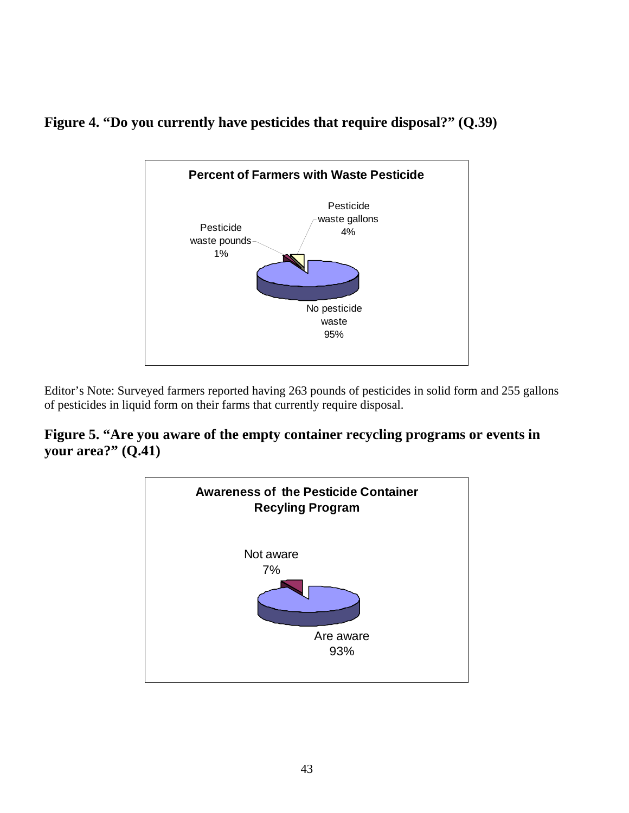



Editor's Note: Surveyed farmers reported having 263 pounds of pesticides in solid form and 255 gallons of pesticides in liquid form on their farms that currently require disposal.

## **Figure 5. "Are you aware of the empty container recycling programs or events in your area?" (Q.41)**

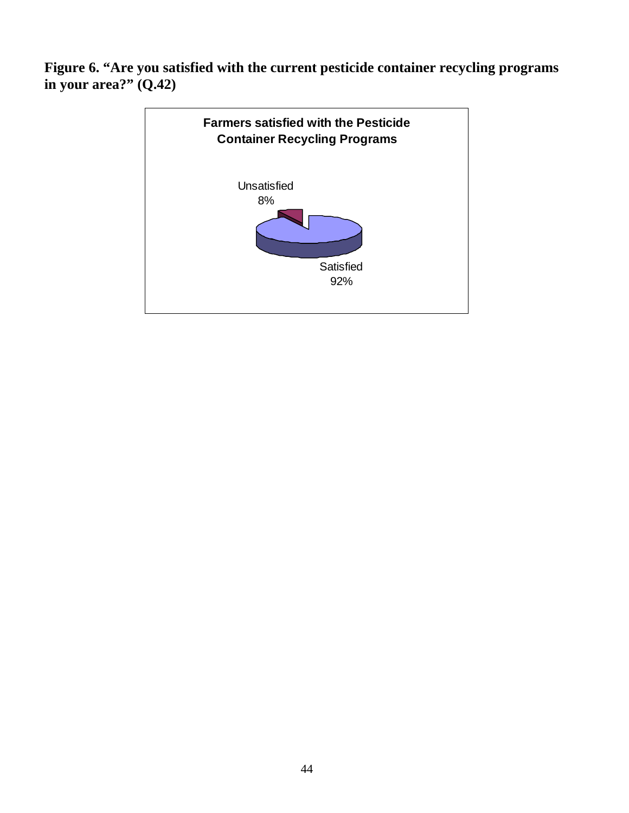**Figure 6. "Are you satisfied with the current pesticide container recycling programs in your area?" (Q.42)** 

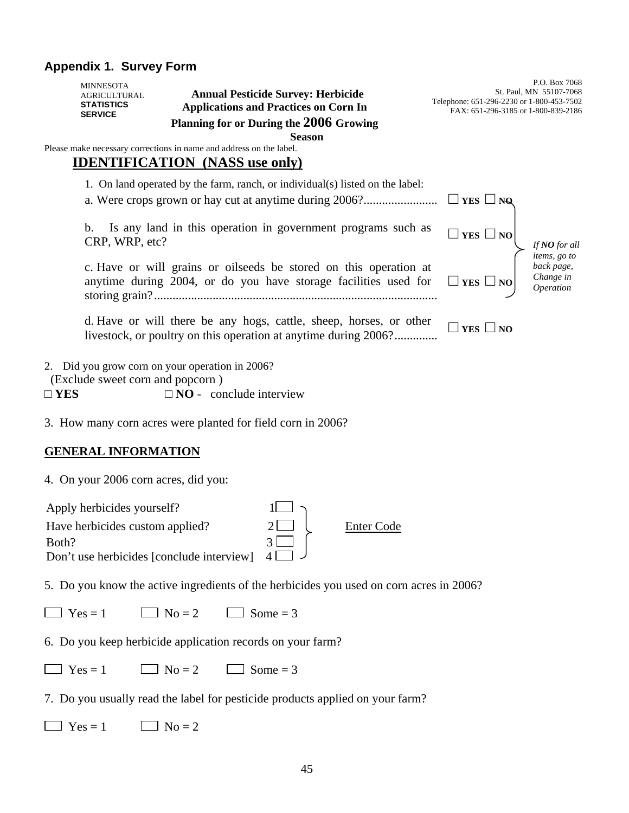## **Appendix 1. Survey Form**

|               | <b>MINNESOTA</b><br><b>AGRICULTURAL</b><br><b>STATISTICS</b><br><b>SERVICE</b> | <b>Annual Pesticide Survey: Herbicide</b><br><b>Applications and Practices on Corn In</b><br>Planning for or During the 2006 Growing    | Telephone: 651-296-2230 or 1-800-453-7502<br>FAX: 651-296-3185 or 1-800-839-2186 | P.O. Box 7068<br>St. Paul, MN 55107-7068             |
|---------------|--------------------------------------------------------------------------------|-----------------------------------------------------------------------------------------------------------------------------------------|----------------------------------------------------------------------------------|------------------------------------------------------|
|               |                                                                                | <b>Season</b><br>Please make necessary corrections in name and address on the label.<br><b>IDENTIFICATION</b> (NASS use only)           |                                                                                  |                                                      |
|               |                                                                                | 1. On land operated by the farm, ranch, or individual(s) listed on the label:<br>a. Were crops grown or hay cut at anytime during 2006? | $\Box$ YES $\Box$ NQ                                                             |                                                      |
|               | b.<br>CRP, WRP, etc?                                                           | Is any land in this operation in government programs such as                                                                            | $\Box$ YES $\Box$ NO                                                             | If NO for all                                        |
|               |                                                                                | c. Have or will grains or oilseeds be stored on this operation at<br>anytime during 2004, or do you have storage facilities used for    | $\Box$ YES $\Box$ NO                                                             | items, go to<br>back page,<br>Change in<br>Operation |
|               |                                                                                | d. Have or will there be any hogs, cattle, sheep, horses, or other<br>livestock, or poultry on this operation at anytime during 2006?   | YES $\Box$ NO                                                                    |                                                      |
| $\square$ YES | (Exclude sweet corn and popcorn)                                               | 2. Did you grow corn on your operation in 2006?<br>$\square$ NO - conclude interview                                                    |                                                                                  |                                                      |
|               |                                                                                | 3. How many corn acres were planted for field corn in 2006?                                                                             |                                                                                  |                                                      |
|               | <b>GENERAL INFORMATION</b>                                                     |                                                                                                                                         |                                                                                  |                                                      |

4. On your 2006 corn acres, did you:

| Enter Code |
|------------|
|            |
|            |
|            |

5. Do you know the active ingredients of the herbicides you used on corn acres in 2006?

 $\Box$  Yes = 1  $\Box$  No = 2  $\Box$  Some = 3

6. Do you keep herbicide application records on your farm?

 $\Box$  Yes = 1  $\Box$  No = 2  $\Box$  Some = 3

7. Do you usually read the label for pesticide products applied on your farm?

 $\Box$  Yes = 1  $\Box$  No = 2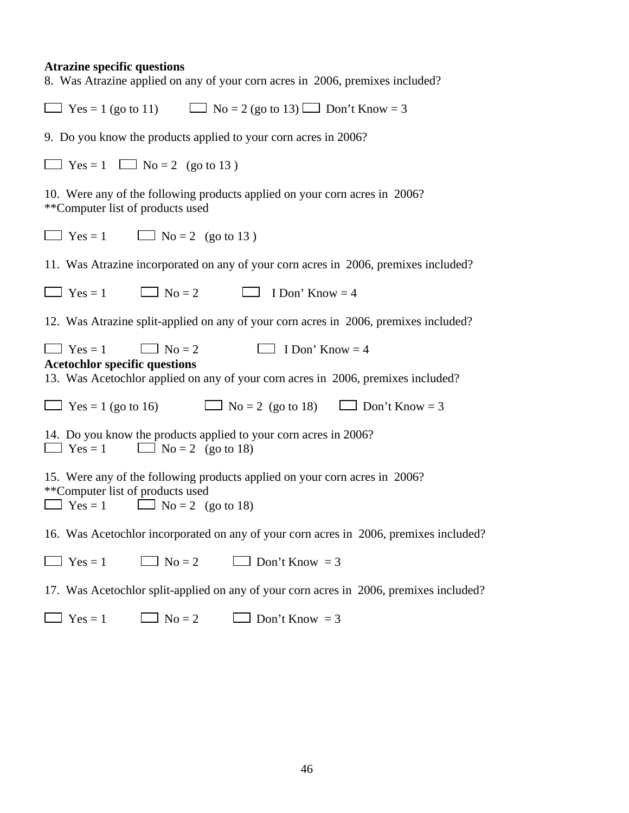## **Atrazine specific questions**

| 8. Was Atrazine applied on any of your corn acres in 2006, premixes included?                                                                                                         |
|---------------------------------------------------------------------------------------------------------------------------------------------------------------------------------------|
| $\Box$ Yes = 1 (go to 11) $\Box$ No = 2 (go to 13) $\Box$ Don't Know = 3                                                                                                              |
| 9. Do you know the products applied to your corn acres in 2006?                                                                                                                       |
| $\Box$ Yes = 1 $\Box$ No = 2 (go to 13)                                                                                                                                               |
| 10. Were any of the following products applied on your corn acres in 2006?<br>**Computer list of products used                                                                        |
| $\Box$ Yes = 1 $\Box$ No = 2 (go to 13)                                                                                                                                               |
| 11. Was Atrazine incorporated on any of your corn acres in 2006, premixes included?                                                                                                   |
| $\Box$ Yes = 1 $\Box$ No = 2 $\Box$ I Don' Know = 4                                                                                                                                   |
| 12. Was Atrazine split-applied on any of your corn acres in 2006, premixes included?                                                                                                  |
| $\Box$ No = 2<br>$\Box$ I Don' Know = 4<br>$\Box$ Yes = 1<br><b>Acetochlor specific questions</b><br>13. Was Acetochlor applied on any of your corn acres in 2006, premixes included? |
| $\Box$ Yes = 1 (go to 16) $\Box$ No = 2 (go to 18) $\Box$ Don't Know = 3                                                                                                              |
| 14. Do you know the products applied to your corn acres in 2006?<br>$\Box$ Yes = 1 $\Box$ No = 2 (go to 18)                                                                           |
| 15. Were any of the following products applied on your corn acres in 2006?<br>**Computer list of products used<br>$\Box$ Yes = 1 $\Box$ No = 2 (go to 18)                             |
| 16. Was Acetochlor incorporated on any of your corn acres in 2006, premixes included?                                                                                                 |
| $\Box$ No = 2<br>$Yes = 1$<br>$\Box$ Don't Know = 3                                                                                                                                   |
| 17. Was Acetochlor split-applied on any of your corn acres in 2006, premixes included?                                                                                                |
| $Yes = 1$<br>$No = 2$<br>$\Box$ Don't Know = 3                                                                                                                                        |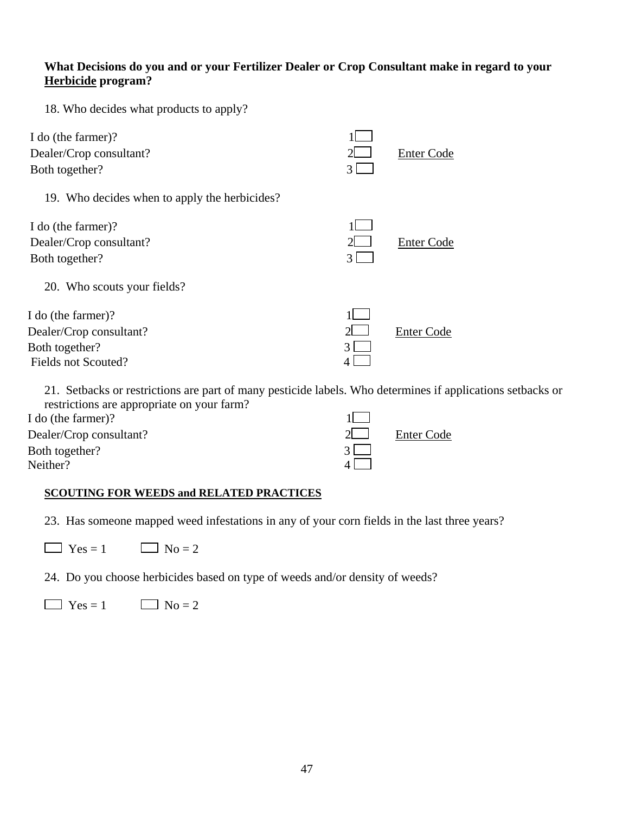#### **What Decisions do you and or your Fertilizer Dealer or Crop Consultant make in regard to your Herbicide program?**

18. Who decides what products to apply?

| I do (the farmer)?<br>Dealer/Crop consultant?<br>Both together?                        |               | <b>Enter Code</b> |
|----------------------------------------------------------------------------------------|---------------|-------------------|
| 19. Who decides when to apply the herbicides?                                          |               |                   |
| I do (the farmer)?<br>Dealer/Crop consultant?<br>Both together?                        | $\mathcal{R}$ | <b>Enter Code</b> |
| 20. Who scouts your fields?                                                            |               |                   |
| I do (the farmer)?<br>Dealer/Crop consultant?<br>Both together?<br>Fields not Scouted? |               | Enter Code        |

21. Setbacks or restrictions are part of many pesticide labels. Who determines if applications setbacks or restrictions are appropriate on your farm?

| I do (the farmer)?      |                   |
|-------------------------|-------------------|
| Dealer/Crop consultant? | <b>Enter Code</b> |
| Both together?          |                   |
| Neither?                |                   |

#### **SCOUTING FOR WEEDS and RELATED PRACTICES**

23. Has someone mapped weed infestations in any of your corn fields in the last three years?

 $\Box$  Yes = 1  $\Box$  No = 2

24. Do you choose herbicides based on type of weeds and/or density of weeds?

 $\Box$  Yes = 1  $\Box$  No = 2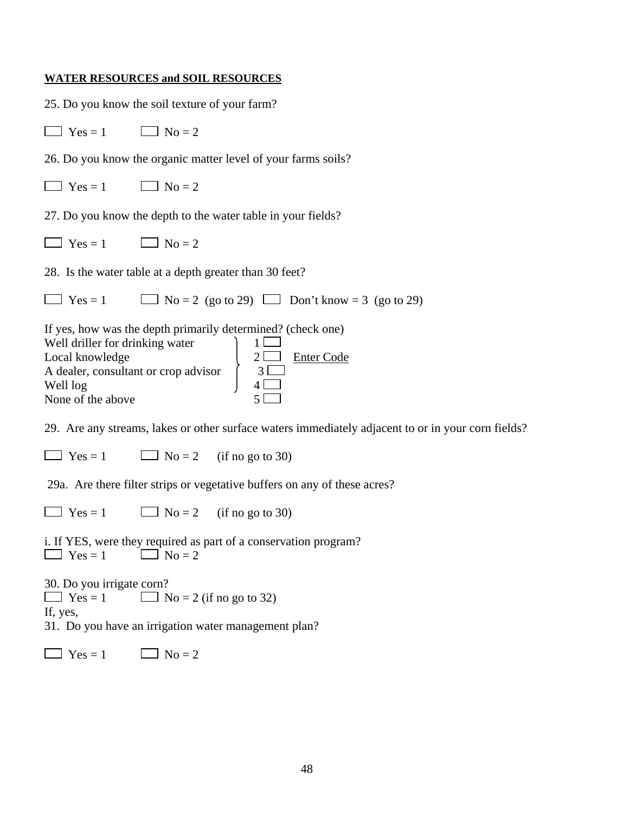### **WATER RESOURCES and SOIL RESOURCES**

|                                                                                                                             | 25. Do you know the soil texture of your farm?                                                                                                                                      |
|-----------------------------------------------------------------------------------------------------------------------------|-------------------------------------------------------------------------------------------------------------------------------------------------------------------------------------|
| $\Box$ Yes = 1                                                                                                              | $\Box$ No = 2                                                                                                                                                                       |
|                                                                                                                             | 26. Do you know the organic matter level of your farms soils?                                                                                                                       |
| $\Box$ Yes = 1 $\Box$ No = 2                                                                                                |                                                                                                                                                                                     |
|                                                                                                                             | 27. Do you know the depth to the water table in your fields?                                                                                                                        |
| $\Box$ Yes = 1 $\Box$ No = 2                                                                                                |                                                                                                                                                                                     |
|                                                                                                                             | 28. Is the water table at a depth greater than 30 feet?                                                                                                                             |
|                                                                                                                             | $\Box$ Yes = 1 $\Box$ No = 2 (go to 29) $\Box$ Don't know = 3 (go to 29)                                                                                                            |
| Well driller for drinking water<br>Local knowledge<br>A dealer, consultant or crop advisor<br>Well log<br>None of the above | If yes, how was the depth primarily determined? (check one)<br>$\left\{\begin{array}{c}1 \ \ \hline 2 \ \ \hline 3 \ \ \hline 4 \ \ \hline \end{array}\right.$<br><b>Enter Code</b> |
|                                                                                                                             | 29. Are any streams, lakes or other surface waters immediately adjacent to or in your corn fields?                                                                                  |
|                                                                                                                             | $\Box$ Yes = 1 $\Box$ No = 2 (if no go to 30)                                                                                                                                       |
|                                                                                                                             | 29a. Are there filter strips or vegetative buffers on any of these acres?                                                                                                           |
| $\Box$ Yes = 1                                                                                                              | $\Box$ No = 2 (if no go to 30)                                                                                                                                                      |
| $\Box$ Yes = 1 $\Box$ No = 2                                                                                                | i. If YES, were they required as part of a conservation program?                                                                                                                    |
| 30. Do you irrigate corn?<br>$\Box$ Yes = 1<br>If, yes,                                                                     | $\Box$ No = 2 (if no go to 32)<br>31. Do you have an irrigation water management plan?                                                                                              |
| $Yes = 1$                                                                                                                   | $\log 2$                                                                                                                                                                            |